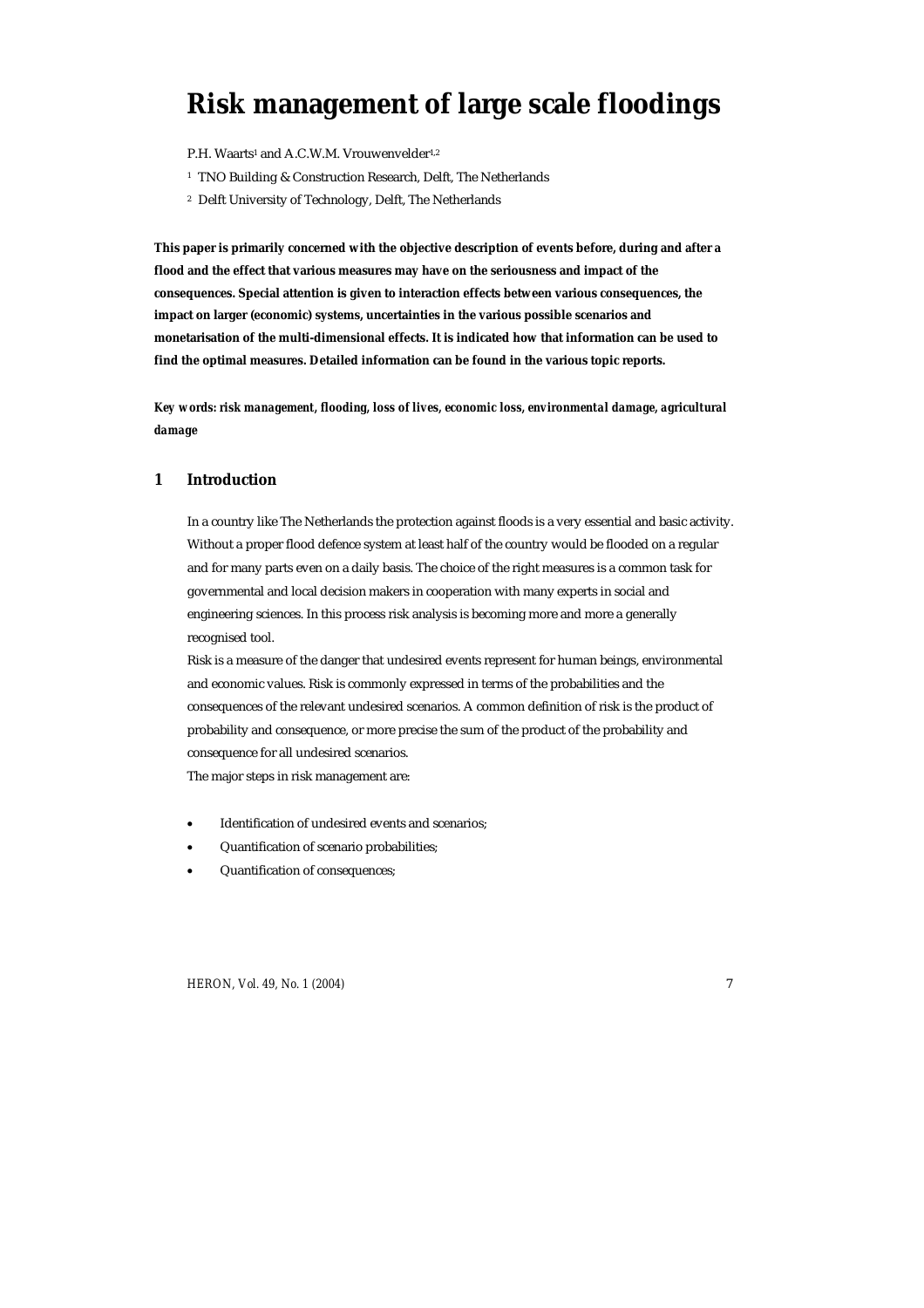# **Risk management of large scale floodings**

P.H. Waarts<sup>1</sup> and A.C.W.M. Vrouwenvelder<sup>1,2</sup>

- <sup>1</sup> TNO Building & Construction Research, Delft, The Netherlands
- 2 Delft University of Technology, Delft, The Netherlands

**This paper is primarily concerned with the objective description of events before, during and after a flood and the effect that various measures may have on the seriousness and impact of the consequences. Special attention is given to interaction effects between various consequences, the impact on larger (economic) systems, uncertainties in the various possible scenarios and monetarisation of the multi-dimensional effects. It is indicated how that information can be used to find the optimal measures. Detailed information can be found in the various topic reports.** 

*Key words: risk management, flooding, loss of lives, economic loss, environmental damage, agricultural damage* 

# **1 Introduction**

In a country like The Netherlands the protection against floods is a very essential and basic activity. Without a proper flood defence system at least half of the country would be flooded on a regular and for many parts even on a daily basis. The choice of the right measures is a common task for governmental and local decision makers in cooperation with many experts in social and engineering sciences. In this process risk analysis is becoming more and more a generally recognised tool.

Risk is a measure of the danger that undesired events represent for human beings, environmental and economic values. Risk is commonly expressed in terms of the probabilities and the consequences of the relevant undesired scenarios. A common definition of risk is the product of probability and consequence, or more precise the sum of the product of the probability and consequence for all undesired scenarios.

The major steps in risk management are:

- Identification of undesired events and scenarios;
- Quantification of scenario probabilities;
- Quantification of consequences;

*HERON, Vol. 49, No. 1 (2004)* 7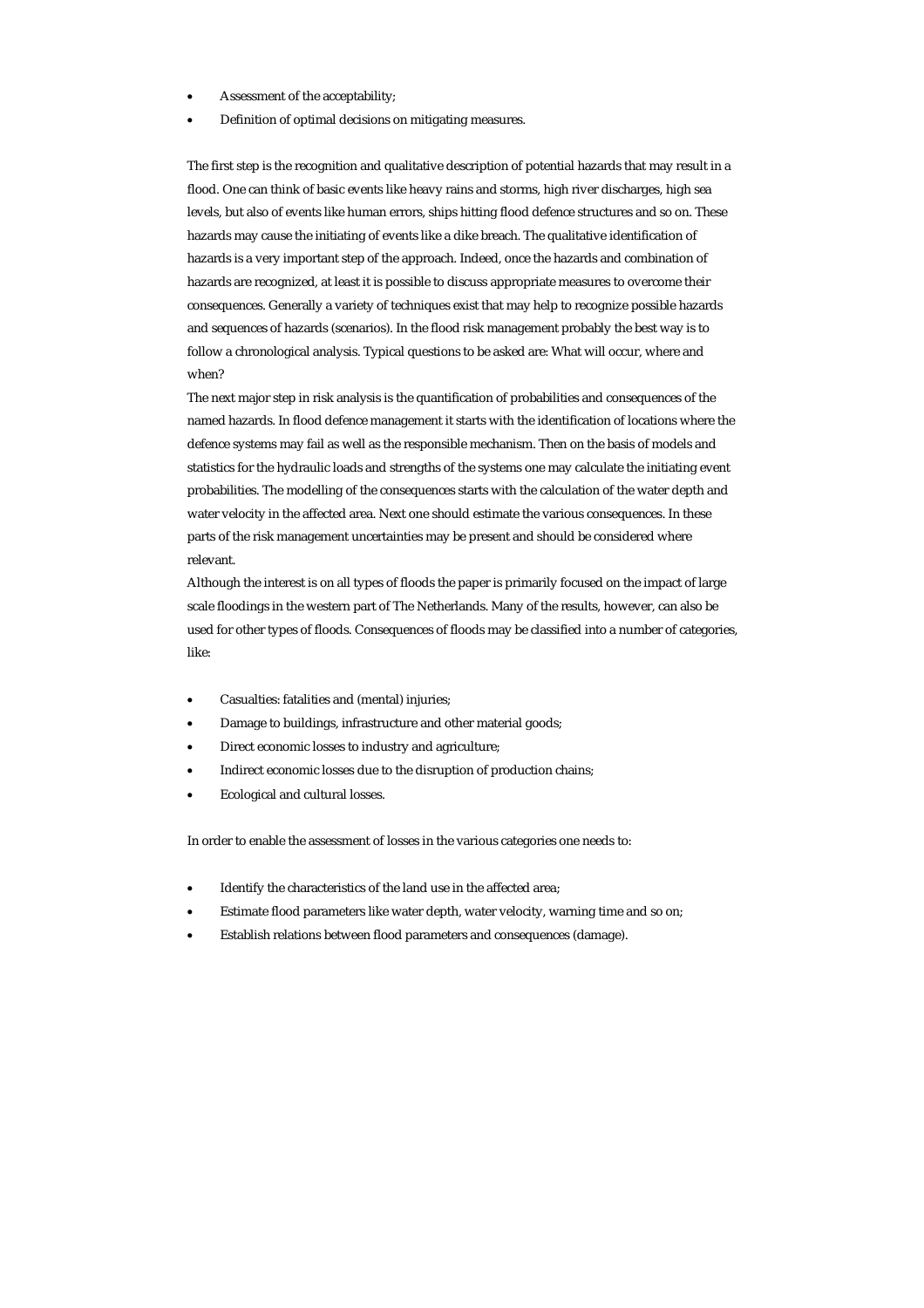- Assessment of the acceptability;
- Definition of optimal decisions on mitigating measures.

The first step is the recognition and qualitative description of potential hazards that may result in a flood. One can think of basic events like heavy rains and storms, high river discharges, high sea levels, but also of events like human errors, ships hitting flood defence structures and so on. These hazards may cause the initiating of events like a dike breach. The qualitative identification of hazards is a very important step of the approach. Indeed, once the hazards and combination of hazards are recognized, at least it is possible to discuss appropriate measures to overcome their consequences. Generally a variety of techniques exist that may help to recognize possible hazards and sequences of hazards (scenarios). In the flood risk management probably the best way is to follow a chronological analysis. Typical questions to be asked are: What will occur, where and when?

The next major step in risk analysis is the quantification of probabilities and consequences of the named hazards. In flood defence management it starts with the identification of locations where the defence systems may fail as well as the responsible mechanism. Then on the basis of models and statistics for the hydraulic loads and strengths of the systems one may calculate the initiating event probabilities. The modelling of the consequences starts with the calculation of the water depth and water velocity in the affected area. Next one should estimate the various consequences. In these parts of the risk management uncertainties may be present and should be considered where relevant.

Although the interest is on all types of floods the paper is primarily focused on the impact of large scale floodings in the western part of The Netherlands. Many of the results, however, can also be used for other types of floods. Consequences of floods may be classified into a number of categories, like:

- Casualties: fatalities and (mental) injuries;
- Damage to buildings, infrastructure and other material goods;
- Direct economic losses to industry and agriculture;
- Indirect economic losses due to the disruption of production chains;
- Ecological and cultural losses.

In order to enable the assessment of losses in the various categories one needs to:

- Identify the characteristics of the land use in the affected area;
- Estimate flood parameters like water depth, water velocity, warning time and so on;
- Establish relations between flood parameters and consequences (damage).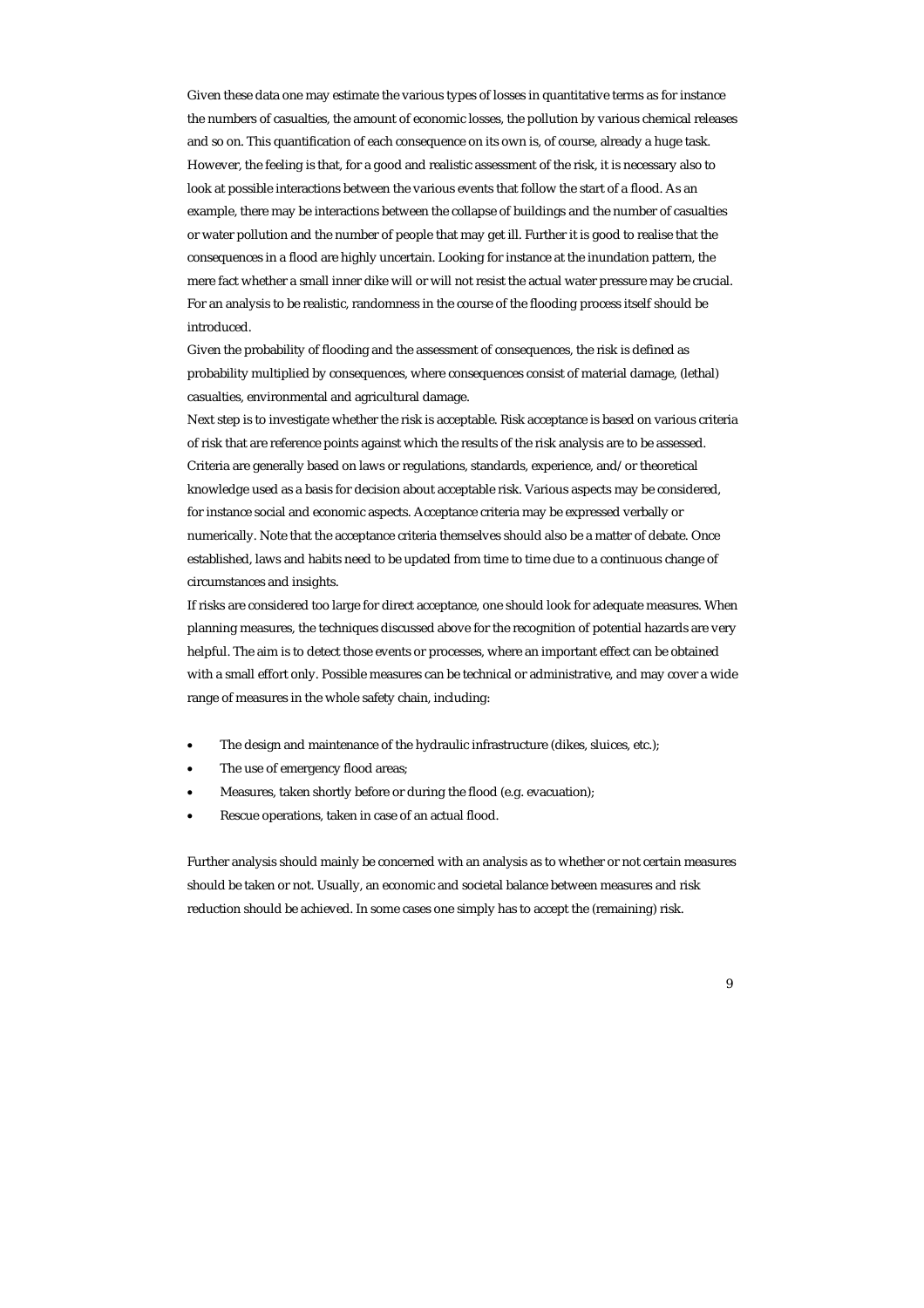Given these data one may estimate the various types of losses in quantitative terms as for instance the numbers of casualties, the amount of economic losses, the pollution by various chemical releases and so on. This quantification of each consequence on its own is, of course, already a huge task. However, the feeling is that, for a good and realistic assessment of the risk, it is necessary also to look at possible interactions between the various events that follow the start of a flood. As an example, there may be interactions between the collapse of buildings and the number of casualties or water pollution and the number of people that may get ill. Further it is good to realise that the consequences in a flood are highly uncertain. Looking for instance at the inundation pattern, the mere fact whether a small inner dike will or will not resist the actual water pressure may be crucial. For an analysis to be realistic, randomness in the course of the flooding process itself should be introduced.

Given the probability of flooding and the assessment of consequences, the risk is defined as probability multiplied by consequences, where consequences consist of material damage, (lethal) casualties, environmental and agricultural damage.

Next step is to investigate whether the risk is acceptable. Risk acceptance is based on various criteria of risk that are reference points against which the results of the risk analysis are to be assessed. Criteria are generally based on laws or regulations, standards, experience, and/or theoretical knowledge used as a basis for decision about acceptable risk. Various aspects may be considered, for instance social and economic aspects. Acceptance criteria may be expressed verbally or numerically. Note that the acceptance criteria themselves should also be a matter of debate. Once established, laws and habits need to be updated from time to time due to a continuous change of circumstances and insights.

If risks are considered too large for direct acceptance, one should look for adequate measures. When planning measures, the techniques discussed above for the recognition of potential hazards are very helpful. The aim is to detect those events or processes, where an important effect can be obtained with a small effort only. Possible measures can be technical or administrative, and may cover a wide range of measures in the whole safety chain, including:

- The design and maintenance of the hydraulic infrastructure (dikes, sluices, etc.);
- The use of emergency flood areas;
- Measures, taken shortly before or during the flood (e.g. evacuation);
- Rescue operations, taken in case of an actual flood.

Further analysis should mainly be concerned with an analysis as to whether or not certain measures should be taken or not. Usually, an economic and societal balance between measures and risk reduction should be achieved. In some cases one simply has to accept the (remaining) risk.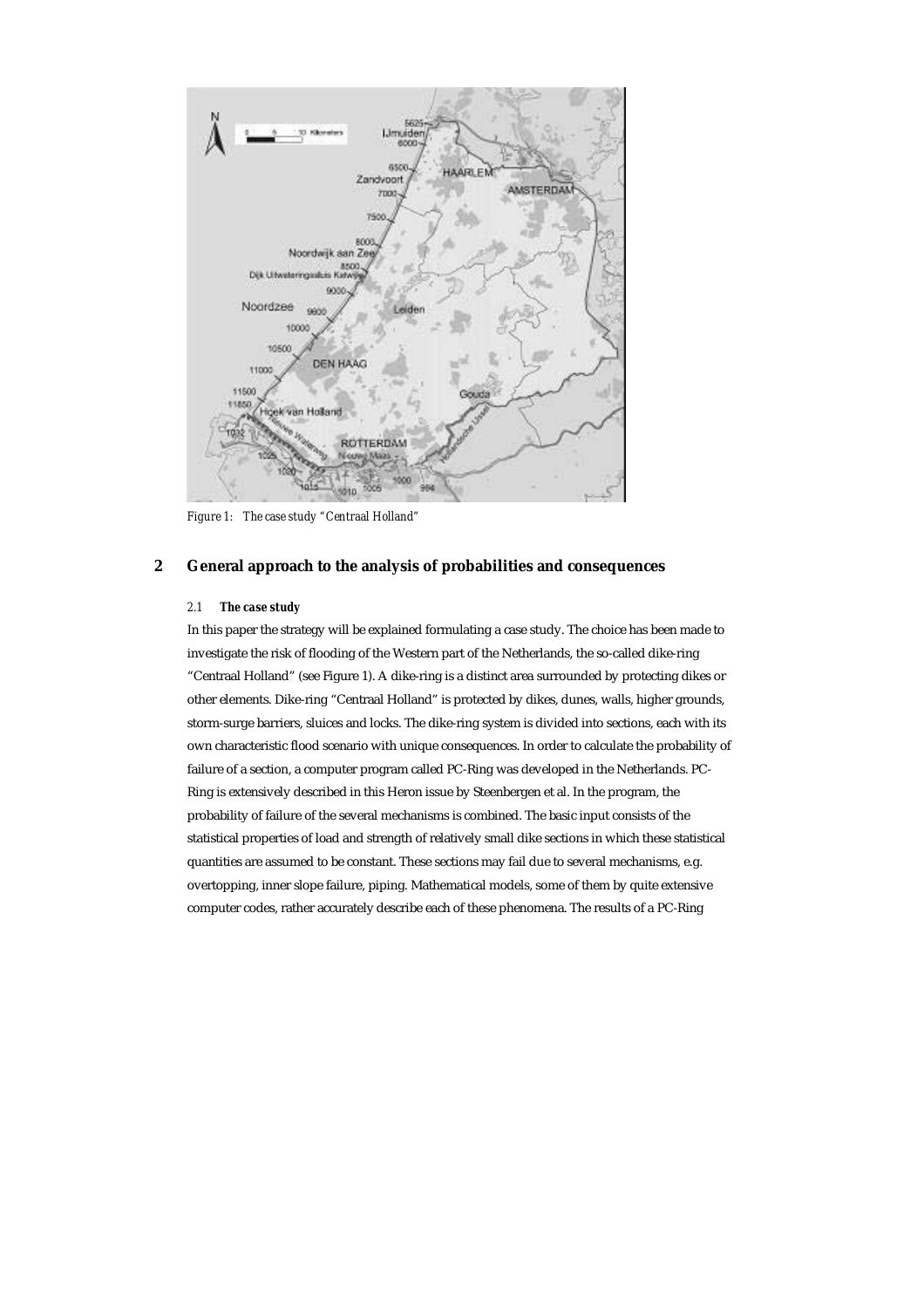

*Figure 1: The case study "Centraal Holland"* 

# **2 General approach to the analysis of probabilities and consequences**

# *2.1 The case study*

In this paper the strategy will be explained formulating a case study. The choice has been made to investigate the risk of flooding of the Western part of the Netherlands, the so-called dike-ring "Centraal Holland" (see Figure 1). A dike-ring is a distinct area surrounded by protecting dikes or other elements. Dike-ring "Centraal Holland" is protected by dikes, dunes, walls, higher grounds, storm-surge barriers, sluices and locks. The dike-ring system is divided into sections, each with its own characteristic flood scenario with unique consequences. In order to calculate the probability of failure of a section, a computer program called PC-Ring was developed in the Netherlands. PC-Ring is extensively described in this Heron issue by Steenbergen et al. In the program, the probability of failure of the several mechanisms is combined. The basic input consists of the statistical properties of load and strength of relatively small dike sections in which these statistical quantities are assumed to be constant. These sections may fail due to several mechanisms, e.g. overtopping, inner slope failure, piping. Mathematical models, some of them by quite extensive computer codes, rather accurately describe each of these phenomena. The results of a PC-Ring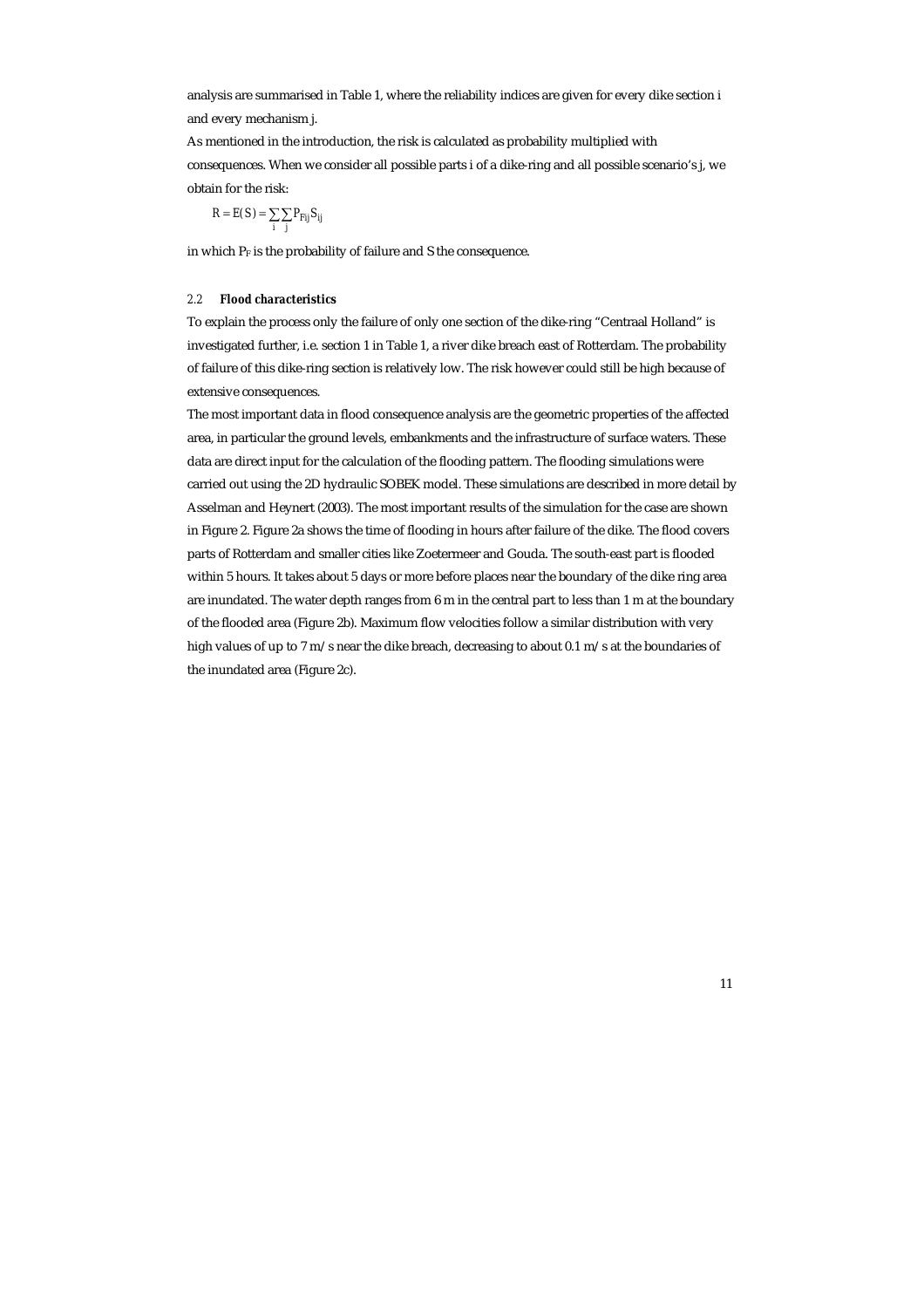analysis are summarised in Table 1, where the reliability indices are given for every dike section i and every mechanism j.

As mentioned in the introduction, the risk is calculated as probability multiplied with consequences. When we consider all possible parts i of a dike-ring and all possible scenario's j, we obtain for the risk:

$$
R = E(S) = \sum_{i} \sum_{j} P_{Fij} S_{ij}
$$

in which  $P_F$  is the probability of failure and S the consequence.

## *2.2 Flood characteristics*

To explain the process only the failure of only one section of the dike-ring "Centraal Holland" is investigated further, i.e. section 1 in Table 1, a river dike breach east of Rotterdam. The probability of failure of this dike-ring section is relatively low. The risk however could still be high because of extensive consequences.

The most important data in flood consequence analysis are the geometric properties of the affected area, in particular the ground levels, embankments and the infrastructure of surface waters. These data are direct input for the calculation of the flooding pattern. The flooding simulations were carried out using the 2D hydraulic SOBEK model. These simulations are described in more detail by Asselman and Heynert (2003). The most important results of the simulation for the case are shown in Figure 2. Figure 2a shows the time of flooding in hours after failure of the dike. The flood covers parts of Rotterdam and smaller cities like Zoetermeer and Gouda. The south-east part is flooded within 5 hours. It takes about 5 days or more before places near the boundary of the dike ring area are inundated. The water depth ranges from 6 m in the central part to less than 1 m at the boundary of the flooded area (Figure 2b). Maximum flow velocities follow a similar distribution with very high values of up to 7 m/s near the dike breach, decreasing to about 0.1 m/s at the boundaries of the inundated area (Figure 2c).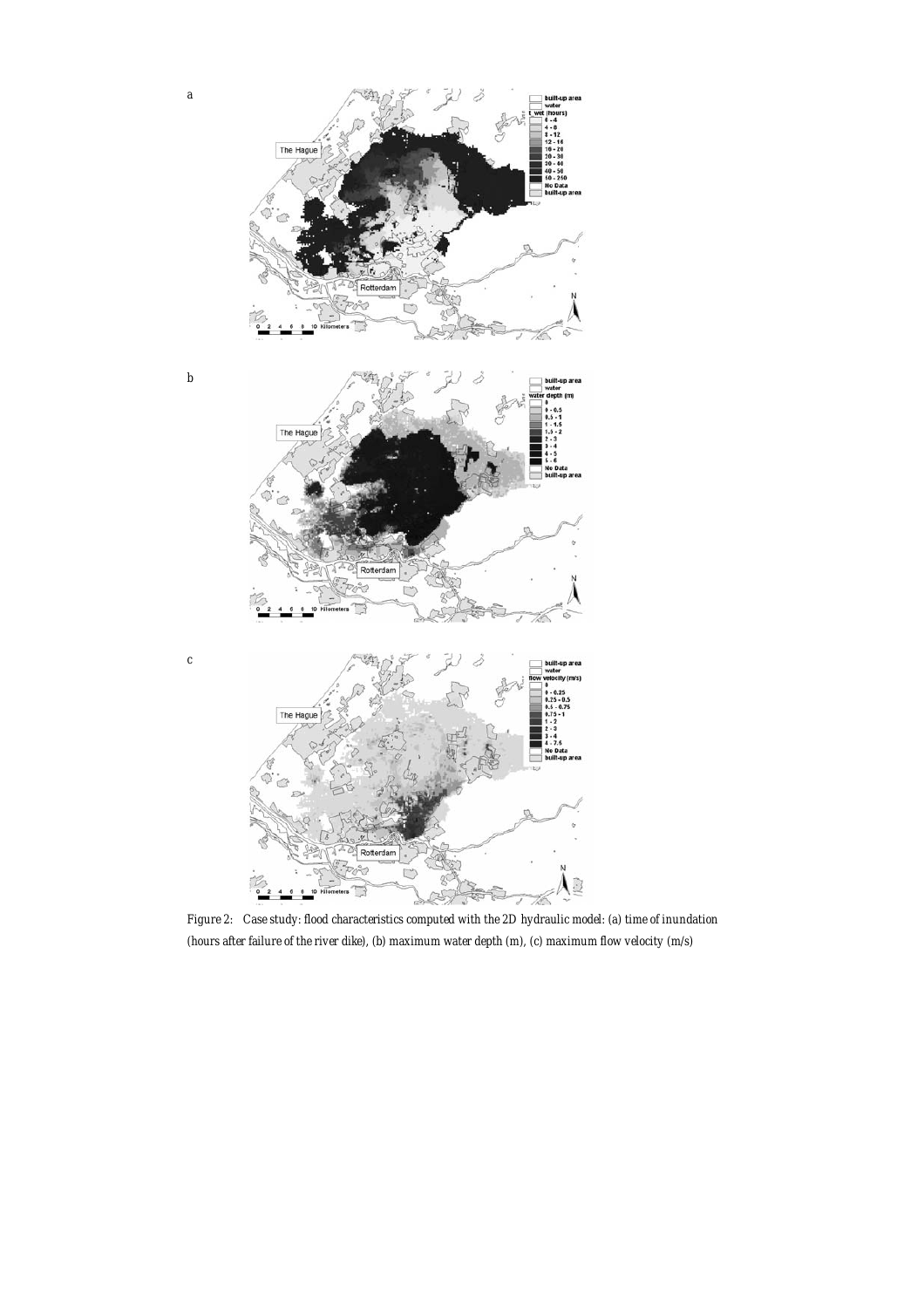

*Figure 2: Case study: flood characteristics computed with the 2D hydraulic model: (a) time of inundation (hours after failure of the river dike), (b) maximum water depth (m), (c) maximum flow velocity (m/s)*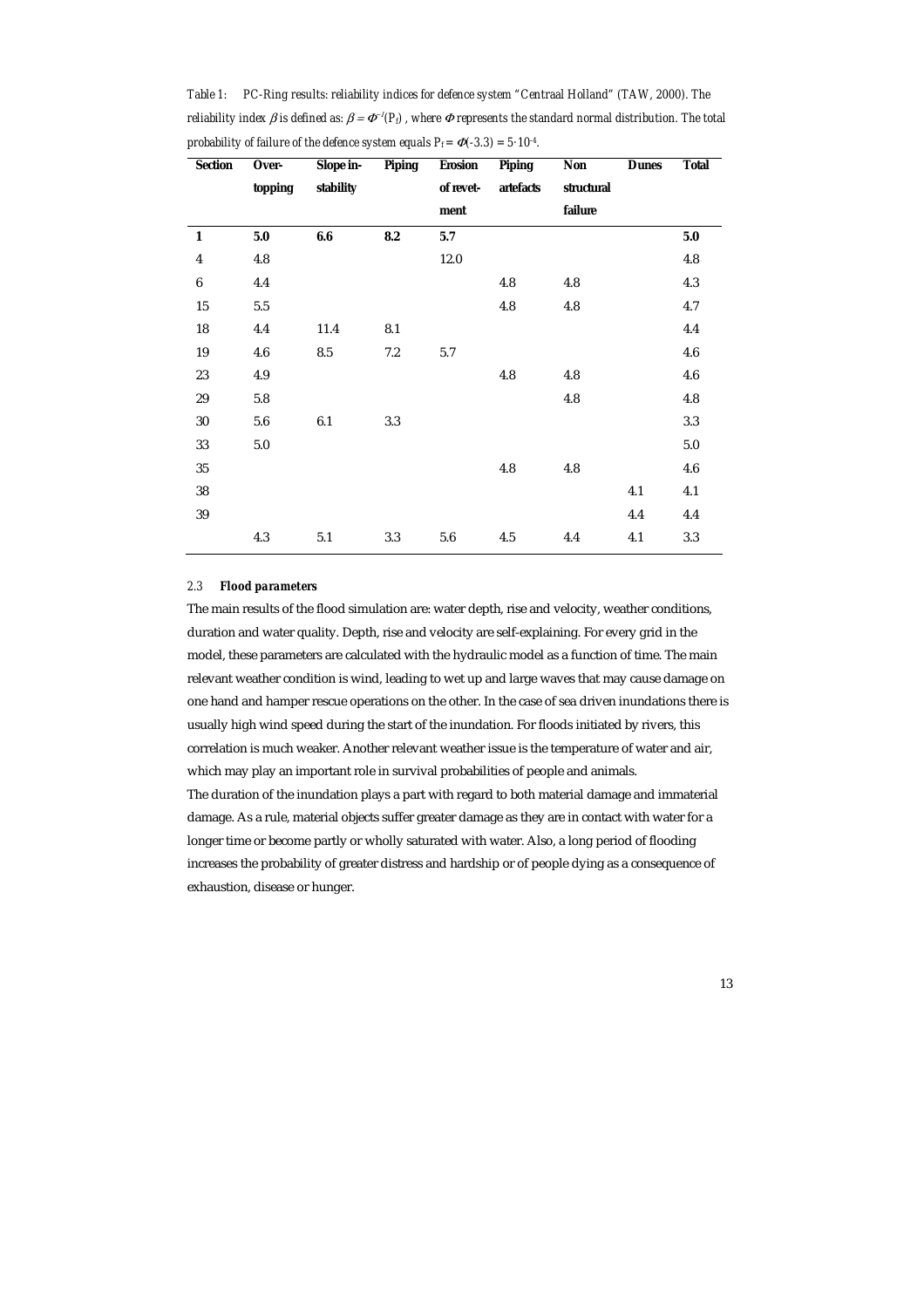| <b>Section</b>          | Over-   | Slope in- | <b>Piping</b> | <b>Erosion</b> | <b>Piping</b> | Non        | <b>Dunes</b> | <b>Total</b> |
|-------------------------|---------|-----------|---------------|----------------|---------------|------------|--------------|--------------|
|                         | topping | stability |               | of revet-      | artefacts     | structural |              |              |
|                         |         |           |               | ment           |               | failure    |              |              |
| $\mathbf{1}$            | $5.0\,$ | 6.6       | 8.2           | 5.7            |               |            |              | $5.0\,$      |
| $\overline{\mathbf{4}}$ | 4.8     |           |               | 12.0           |               |            |              | 4.8          |
| $\boldsymbol{6}$        | 4.4     |           |               |                | 4.8           | 4.8        |              | 4.3          |
| 15                      | 5.5     |           |               |                | 4.8           | 4.8        |              | 4.7          |
| 18                      | 4.4     | 11.4      | 8.1           |                |               |            |              | 4.4          |
| 19                      | 4.6     | 8.5       | 7.2           | 5.7            |               |            |              | 4.6          |
| 23                      | 4.9     |           |               |                | 4.8           | 4.8        |              | 4.6          |
| 29                      | 5.8     |           |               |                |               | 4.8        |              | 4.8          |
| 30                      | 5.6     | 6.1       | 3.3           |                |               |            |              | 3.3          |
| 33                      | 5.0     |           |               |                |               |            |              | 5.0          |
| $35\,$                  |         |           |               |                | 4.8           | 4.8        |              | 4.6          |
| $38\,$                  |         |           |               |                |               |            | 4.1          | 4.1          |
| 39                      |         |           |               |                |               |            | 4.4          | 4.4          |
|                         | 4.3     | 5.1       | 3.3           | 5.6            | 4.5           | 4.4        | 4.1          | 3.3          |

*Table 1: PC-Ring results: reliability indices for defence system "Centraal Holland" (TAW, 2000). The reliability index B is defined as:*  $B = \Phi^{-1}(P_d)$ *, where*  $\Phi$  *represents the standard normal distribution. The total probability of failure of the defence system equals*  $P_f = \Phi(-3.3) = 5.10^{4}$ *.* 

#### *2.3 Flood parameters*

The main results of the flood simulation are: water depth, rise and velocity, weather conditions, duration and water quality. Depth, rise and velocity are self-explaining. For every grid in the model, these parameters are calculated with the hydraulic model as a function of time. The main relevant weather condition is wind, leading to wet up and large waves that may cause damage on one hand and hamper rescue operations on the other. In the case of sea driven inundations there is usually high wind speed during the start of the inundation. For floods initiated by rivers, this correlation is much weaker. Another relevant weather issue is the temperature of water and air, which may play an important role in survival probabilities of people and animals. The duration of the inundation plays a part with regard to both material damage and immaterial damage. As a rule, material objects suffer greater damage as they are in contact with water for a longer time or become partly or wholly saturated with water. Also, a long period of flooding increases the probability of greater distress and hardship or of people dying as a consequence of exhaustion, disease or hunger.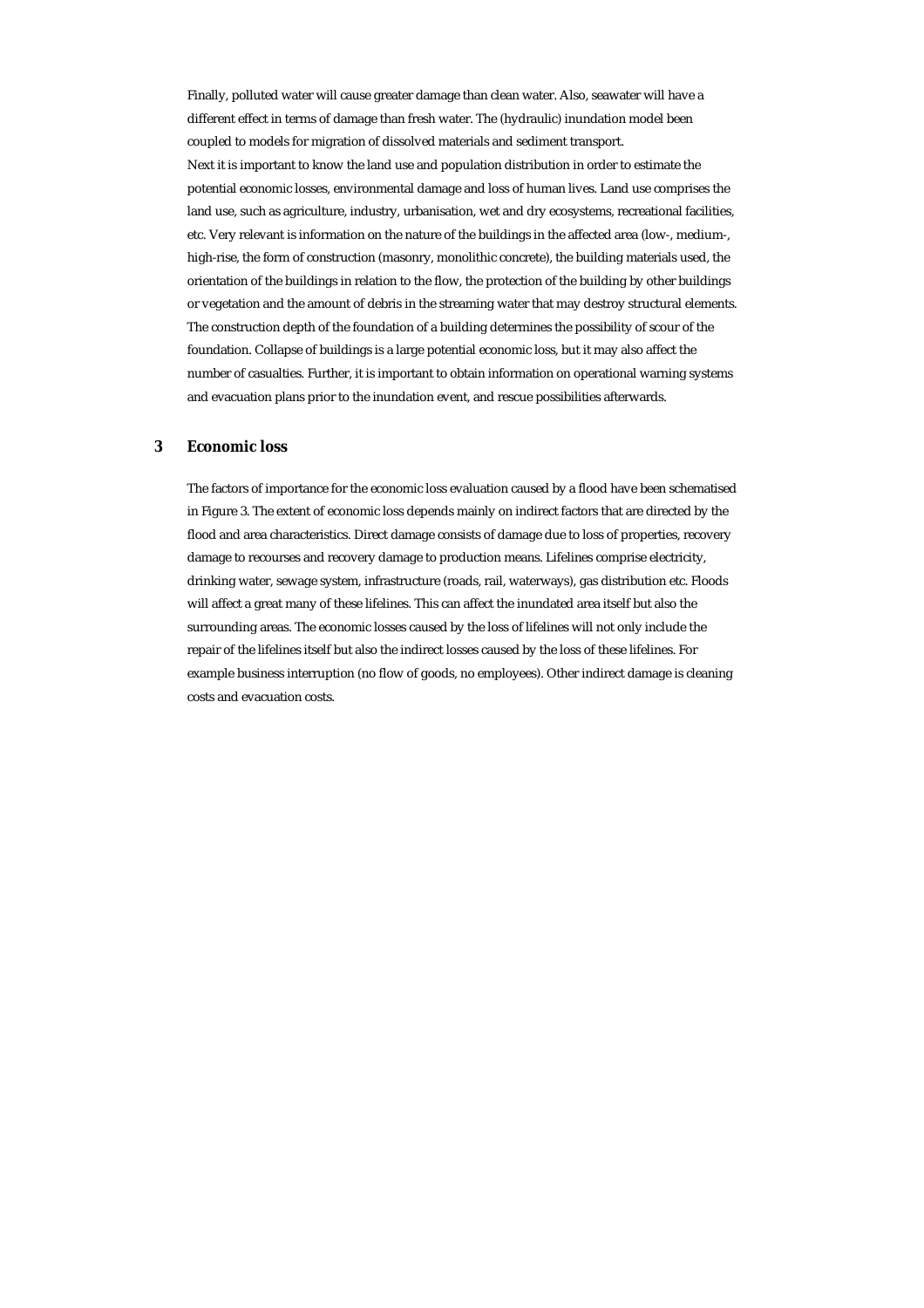Finally, polluted water will cause greater damage than clean water. Also, seawater will have a different effect in terms of damage than fresh water. The (hydraulic) inundation model been coupled to models for migration of dissolved materials and sediment transport. Next it is important to know the land use and population distribution in order to estimate the potential economic losses, environmental damage and loss of human lives. Land use comprises the land use, such as agriculture, industry, urbanisation, wet and dry ecosystems, recreational facilities, etc. Very relevant is information on the nature of the buildings in the affected area (low-, medium-, high-rise, the form of construction (masonry, monolithic concrete), the building materials used, the orientation of the buildings in relation to the flow, the protection of the building by other buildings or vegetation and the amount of debris in the streaming water that may destroy structural elements. The construction depth of the foundation of a building determines the possibility of scour of the foundation. Collapse of buildings is a large potential economic loss, but it may also affect the number of casualties. Further, it is important to obtain information on operational warning systems and evacuation plans prior to the inundation event, and rescue possibilities afterwards.

### **3 Economic loss**

The factors of importance for the economic loss evaluation caused by a flood have been schematised in Figure 3. The extent of economic loss depends mainly on indirect factors that are directed by the flood and area characteristics. Direct damage consists of damage due to loss of properties, recovery damage to recourses and recovery damage to production means. Lifelines comprise electricity, drinking water, sewage system, infrastructure (roads, rail, waterways), gas distribution etc. Floods will affect a great many of these lifelines. This can affect the inundated area itself but also the surrounding areas. The economic losses caused by the loss of lifelines will not only include the repair of the lifelines itself but also the indirect losses caused by the loss of these lifelines. For example business interruption (no flow of goods, no employees). Other indirect damage is cleaning costs and evacuation costs.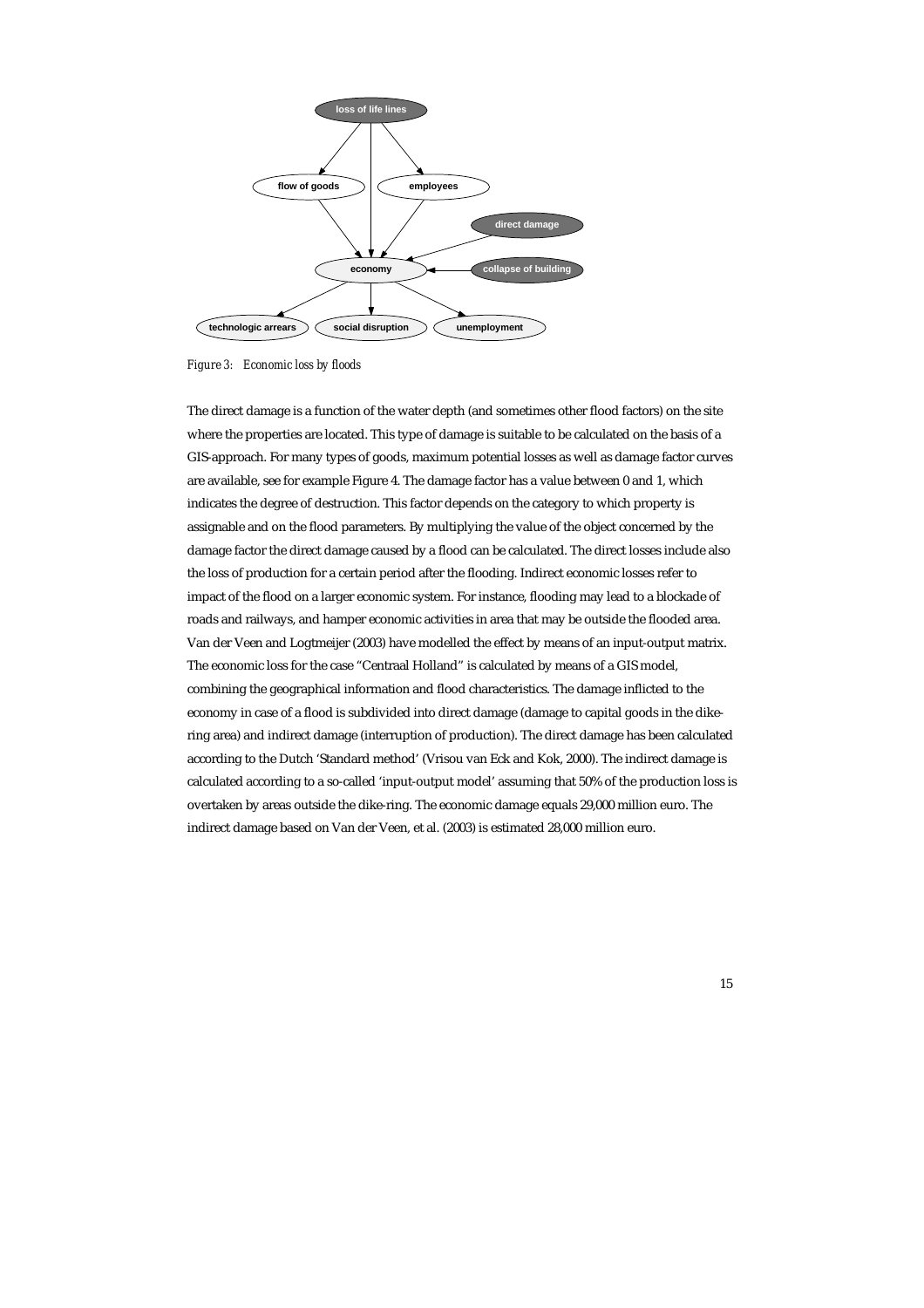

*Figure 3: Economic loss by floods* 

The direct damage is a function of the water depth (and sometimes other flood factors) on the site where the properties are located. This type of damage is suitable to be calculated on the basis of a GIS-approach. For many types of goods, maximum potential losses as well as damage factor curves are available, see for example Figure 4. The damage factor has a value between 0 and 1, which indicates the degree of destruction. This factor depends on the category to which property is assignable and on the flood parameters. By multiplying the value of the object concerned by the damage factor the direct damage caused by a flood can be calculated. The direct losses include also the loss of production for a certain period after the flooding. Indirect economic losses refer to impact of the flood on a larger economic system. For instance, flooding may lead to a blockade of roads and railways, and hamper economic activities in area that may be outside the flooded area. Van der Veen and Logtmeijer (2003) have modelled the effect by means of an input-output matrix. The economic loss for the case "Centraal Holland" is calculated by means of a GIS model, combining the geographical information and flood characteristics. The damage inflicted to the economy in case of a flood is subdivided into direct damage (damage to capital goods in the dikering area) and indirect damage (interruption of production). The direct damage has been calculated according to the Dutch 'Standard method' (Vrisou van Eck and Kok, 2000). The indirect damage is calculated according to a so-called 'input-output model' assuming that 50% of the production loss is overtaken by areas outside the dike-ring. The economic damage equals 29,000 million euro. The indirect damage based on Van der Veen, et al. (2003) is estimated 28,000 million euro.

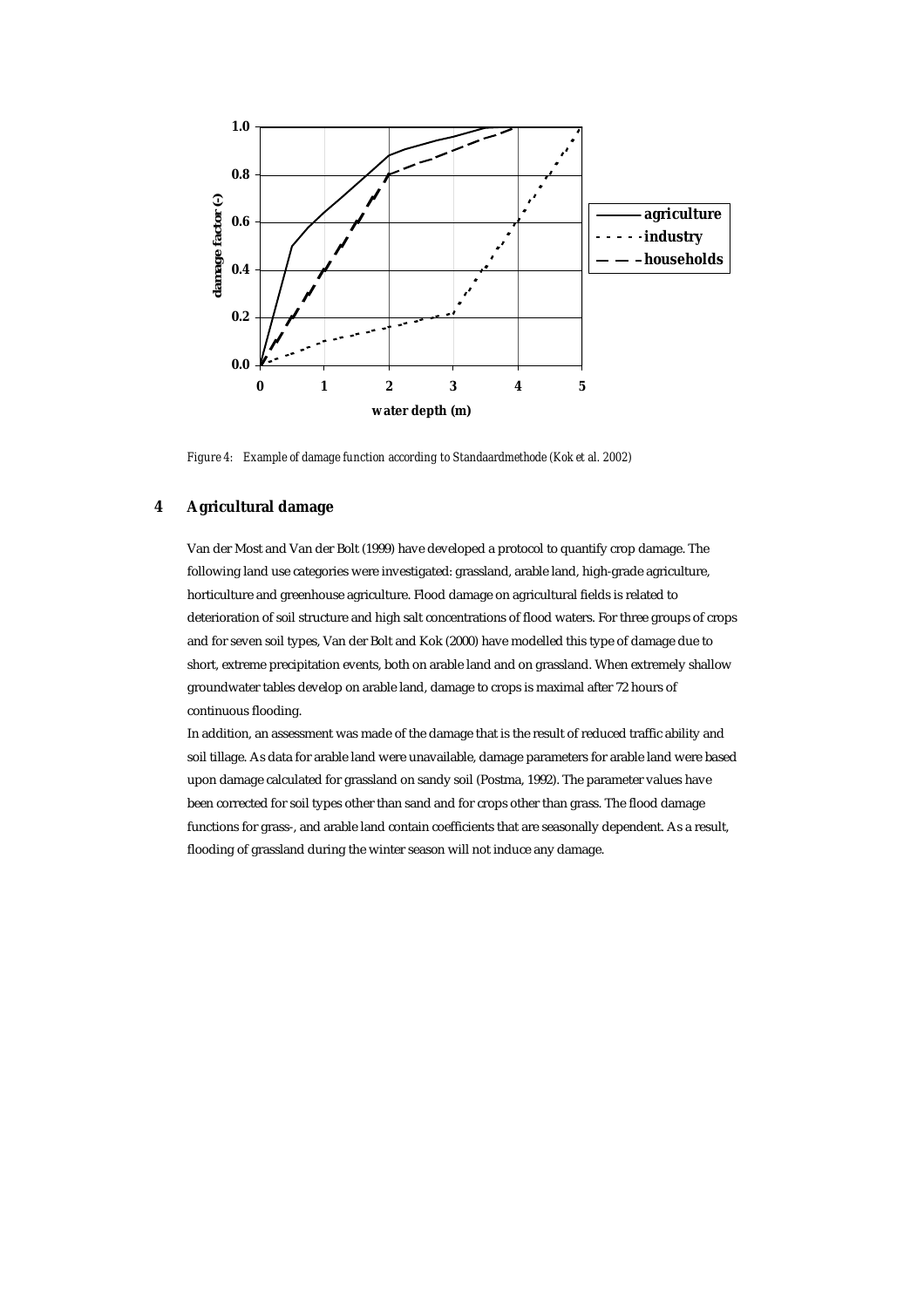

*Figure 4: Example of damage function according to Standaardmethode (Kok et al. 2002)* 

# **4 Agricultural damage**

Van der Most and Van der Bolt (1999) have developed a protocol to quantify crop damage. The following land use categories were investigated: grassland, arable land, high-grade agriculture, horticulture and greenhouse agriculture. Flood damage on agricultural fields is related to deterioration of soil structure and high salt concentrations of flood waters. For three groups of crops and for seven soil types, Van der Bolt and Kok (2000) have modelled this type of damage due to short, extreme precipitation events, both on arable land and on grassland. When extremely shallow groundwater tables develop on arable land, damage to crops is maximal after 72 hours of continuous flooding.

In addition, an assessment was made of the damage that is the result of reduced traffic ability and soil tillage. As data for arable land were unavailable, damage parameters for arable land were based upon damage calculated for grassland on sandy soil (Postma, 1992). The parameter values have been corrected for soil types other than sand and for crops other than grass. The flood damage functions for grass-, and arable land contain coefficients that are seasonally dependent. As a result, flooding of grassland during the winter season will not induce any damage.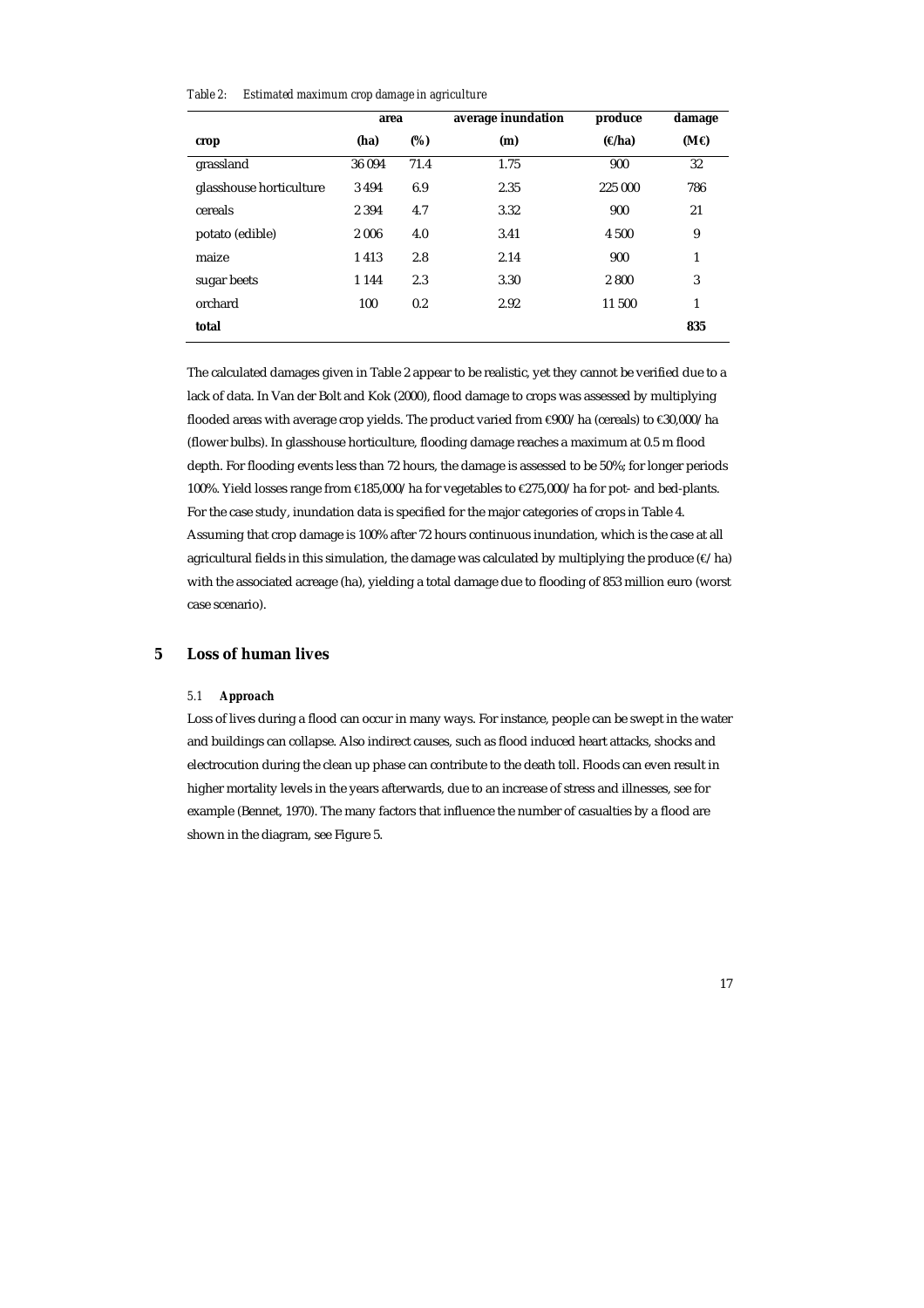*Table 2: Estimated maximum crop damage in agriculture* 

|                         | area    |      | average inundation | produce       | damage      |
|-------------------------|---------|------|--------------------|---------------|-------------|
| crop                    | (ha)    | (%)  | (m)                | $(\Theta$ ha) | $(M\Theta)$ |
| grassland               | 36 094  | 71.4 | 1.75               | 900           | 32          |
| glasshouse horticulture | 3494    | 6.9  | 2.35               | 225 000       | 786         |
| cereals                 | 2 3 9 4 | 4.7  | 3.32               | 900           | 21          |
| potato (edible)         | 2006    | 4.0  | 3.41               | 4 500         | 9           |
| maize                   | 1413    | 2.8  | 2.14               | 900           | 1           |
| sugar beets             | 1 1 4 4 | 2.3  | 3.30               | 2800          | 3           |
| orchard                 | 100     | 0.2  | 2.92               | 11 500        | 1           |
| total                   |         |      |                    |               | 835         |

The calculated damages given in Table 2 appear to be realistic, yet they cannot be verified due to a lack of data. In Van der Bolt and Kok (2000), flood damage to crops was assessed by multiplying flooded areas with average crop yields. The product varied from €900/ha (cereals) to €30,000/ha (flower bulbs). In glasshouse horticulture, flooding damage reaches a maximum at 0.5 m flood depth. For flooding events less than 72 hours, the damage is assessed to be 50%; for longer periods 100%. Yield losses range from €185,000/ha for vegetables to €275,000/ha for pot- and bed-plants. For the case study, inundation data is specified for the major categories of crops in Table 4. Assuming that crop damage is 100% after 72 hours continuous inundation, which is the case at all agricultural fields in this simulation, the damage was calculated by multiplying the produce  $(\epsilon/\hbar a)$ with the associated acreage (ha), yielding a total damage due to flooding of 853 million euro (worst case scenario).

# **5 Loss of human lives**

# *5.1 Approach*

Loss of lives during a flood can occur in many ways. For instance, people can be swept in the water and buildings can collapse. Also indirect causes, such as flood induced heart attacks, shocks and electrocution during the clean up phase can contribute to the death toll. Floods can even result in higher mortality levels in the years afterwards, due to an increase of stress and illnesses, see for example (Bennet, 1970). The many factors that influence the number of casualties by a flood are shown in the diagram, see Figure 5.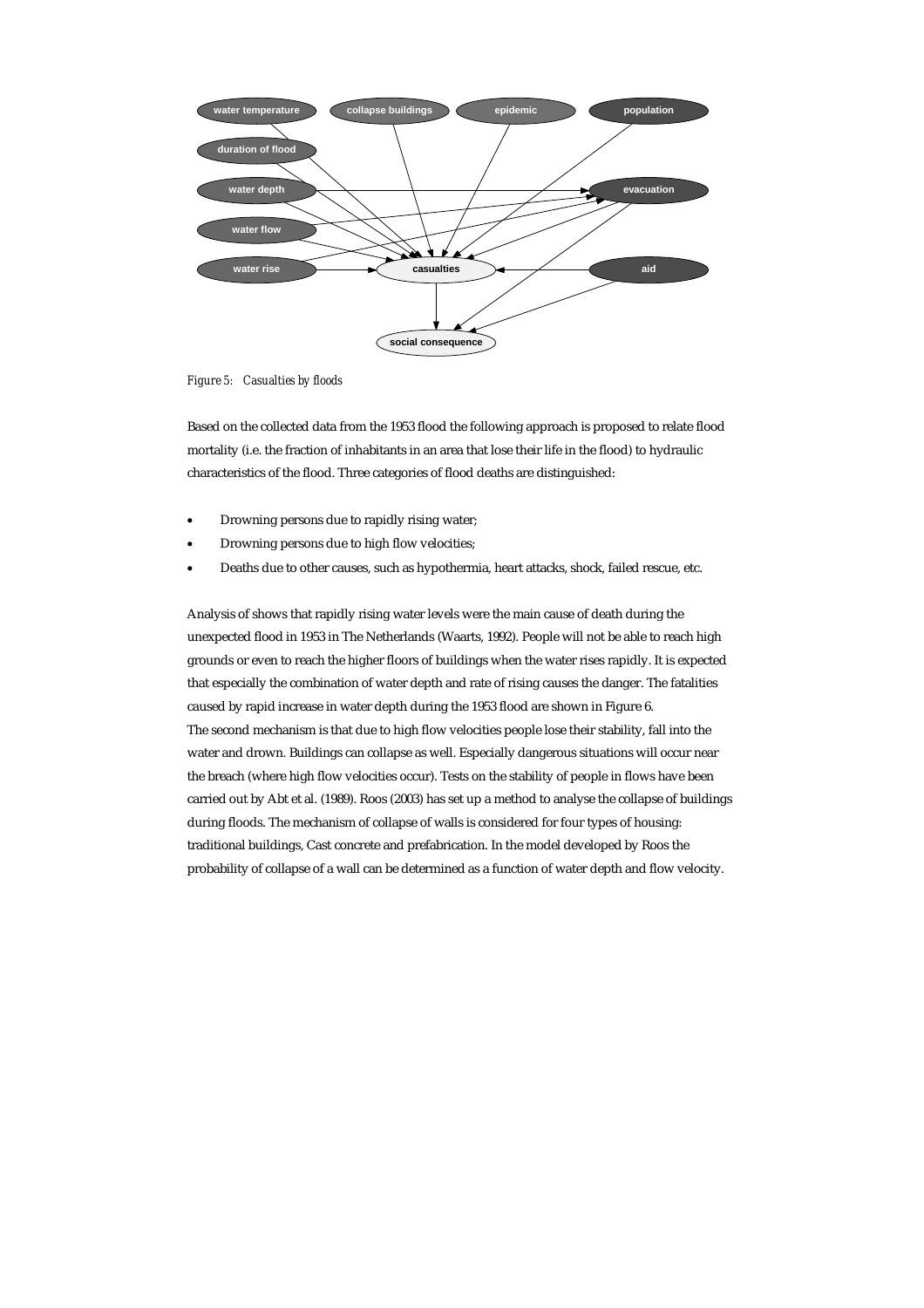

*Figure 5: Casualties by floods* 

Based on the collected data from the 1953 flood the following approach is proposed to relate flood mortality (i.e. the fraction of inhabitants in an area that lose their life in the flood) to hydraulic characteristics of the flood. Three categories of flood deaths are distinguished:

- Drowning persons due to rapidly rising water;
- Drowning persons due to high flow velocities;
- Deaths due to other causes, such as hypothermia, heart attacks, shock, failed rescue, etc.

Analysis of shows that rapidly rising water levels were the main cause of death during the unexpected flood in 1953 in The Netherlands (Waarts, 1992). People will not be able to reach high grounds or even to reach the higher floors of buildings when the water rises rapidly. It is expected that especially the combination of water depth and rate of rising causes the danger. The fatalities caused by rapid increase in water depth during the 1953 flood are shown in Figure 6. The second mechanism is that due to high flow velocities people lose their stability, fall into the water and drown. Buildings can collapse as well. Especially dangerous situations will occur near the breach (where high flow velocities occur). Tests on the stability of people in flows have been carried out by Abt et al. (1989). Roos (2003) has set up a method to analyse the collapse of buildings during floods. The mechanism of collapse of walls is considered for four types of housing: traditional buildings, Cast concrete and prefabrication. In the model developed by Roos the probability of collapse of a wall can be determined as a function of water depth and flow velocity.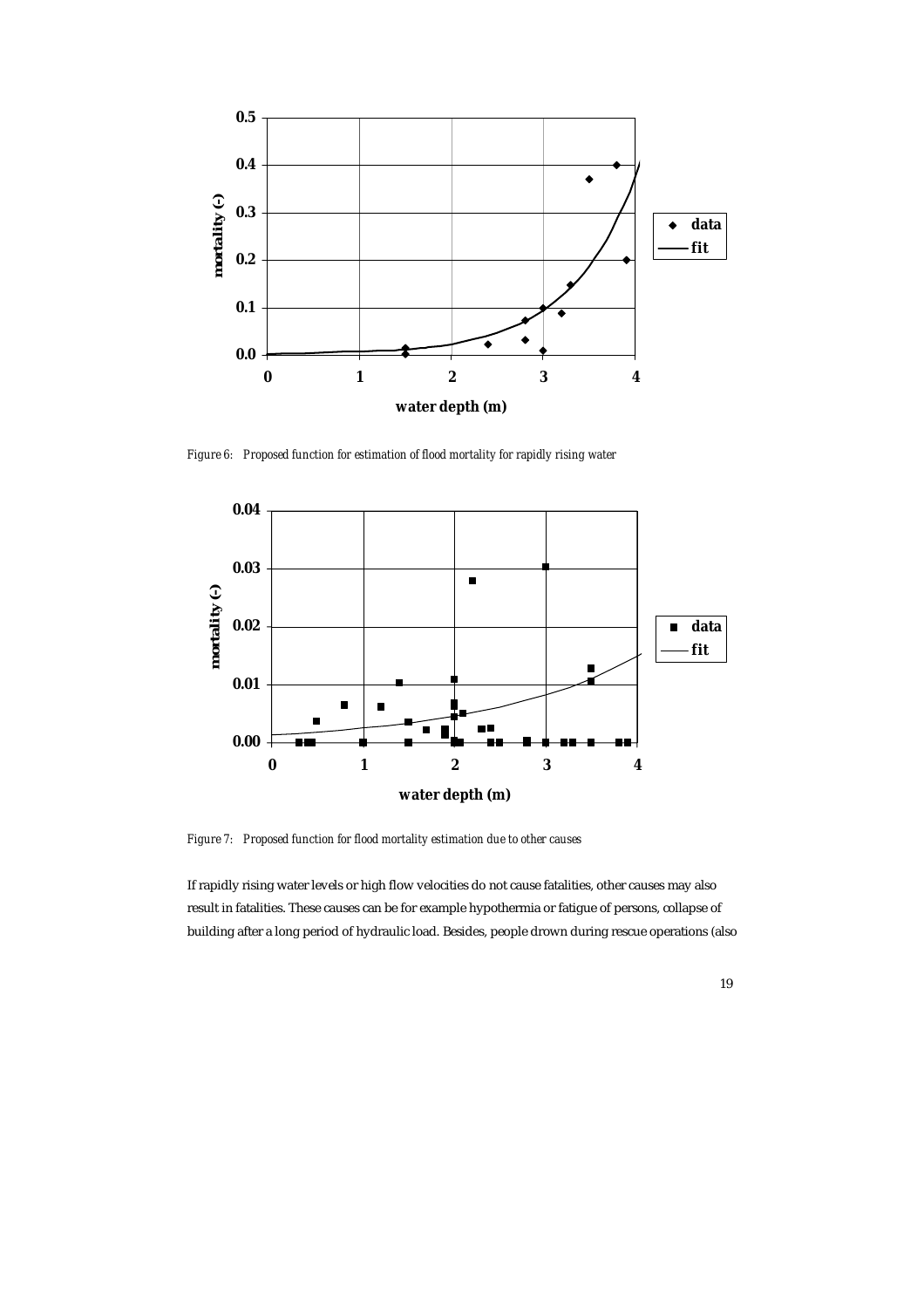

*Figure 6: Proposed function for estimation of flood mortality for rapidly rising water* 



*Figure 7: Proposed function for flood mortality estimation due to other causes* 

If rapidly rising water levels or high flow velocities do not cause fatalities, other causes may also result in fatalities. These causes can be for example hypothermia or fatigue of persons, collapse of building after a long period of hydraulic load. Besides, people drown during rescue operations (also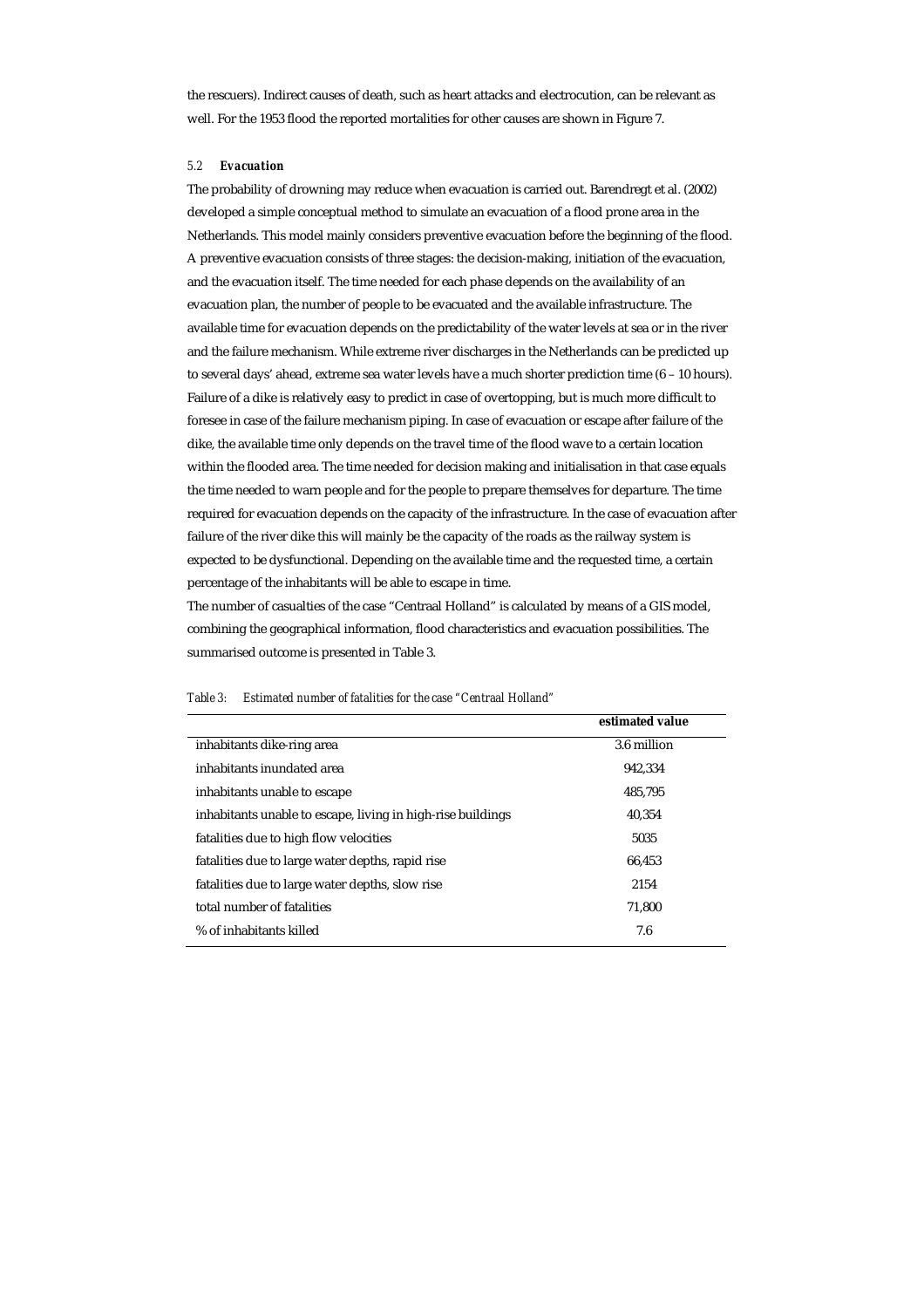the rescuers). Indirect causes of death, such as heart attacks and electrocution, can be relevant as well. For the 1953 flood the reported mortalities for other causes are shown in Figure 7.

# *5.2 Evacuation*

The probability of drowning may reduce when evacuation is carried out. Barendregt et al. (2002) developed a simple conceptual method to simulate an evacuation of a flood prone area in the Netherlands. This model mainly considers preventive evacuation before the beginning of the flood. A preventive evacuation consists of three stages: the decision-making, initiation of the evacuation, and the evacuation itself. The time needed for each phase depends on the availability of an evacuation plan, the number of people to be evacuated and the available infrastructure. The available time for evacuation depends on the predictability of the water levels at sea or in the river and the failure mechanism. While extreme river discharges in the Netherlands can be predicted up to several days' ahead, extreme sea water levels have a much shorter prediction time (6 – 10 hours). Failure of a dike is relatively easy to predict in case of overtopping, but is much more difficult to foresee in case of the failure mechanism piping. In case of evacuation or escape after failure of the dike, the available time only depends on the travel time of the flood wave to a certain location within the flooded area. The time needed for decision making and initialisation in that case equals the time needed to warn people and for the people to prepare themselves for departure. The time required for evacuation depends on the capacity of the infrastructure. In the case of evacuation after failure of the river dike this will mainly be the capacity of the roads as the railway system is expected to be dysfunctional. Depending on the available time and the requested time, a certain percentage of the inhabitants will be able to escape in time.

The number of casualties of the case "Centraal Holland" is calculated by means of a GIS model, combining the geographical information, flood characteristics and evacuation possibilities. The summarised outcome is presented in Table 3.

|                                                             | estimated value |
|-------------------------------------------------------------|-----------------|
| inhabitants dike-ring area                                  | 3.6 million     |
| inhabitants inundated area                                  | 942.334         |
| inhabitants unable to escape                                | 485.795         |
| inhabitants unable to escape, living in high-rise buildings | 40.354          |
| fatalities due to high flow velocities                      | 5035            |
| fatalities due to large water depths, rapid rise            | 66.453          |
| fatalities due to large water depths, slow rise             | 2154            |
| total number of fatalities                                  | 71.800          |
| % of inhabitants killed                                     | 7.6             |

*Table 3: Estimated number of fatalities for the case "Centraal Holland"*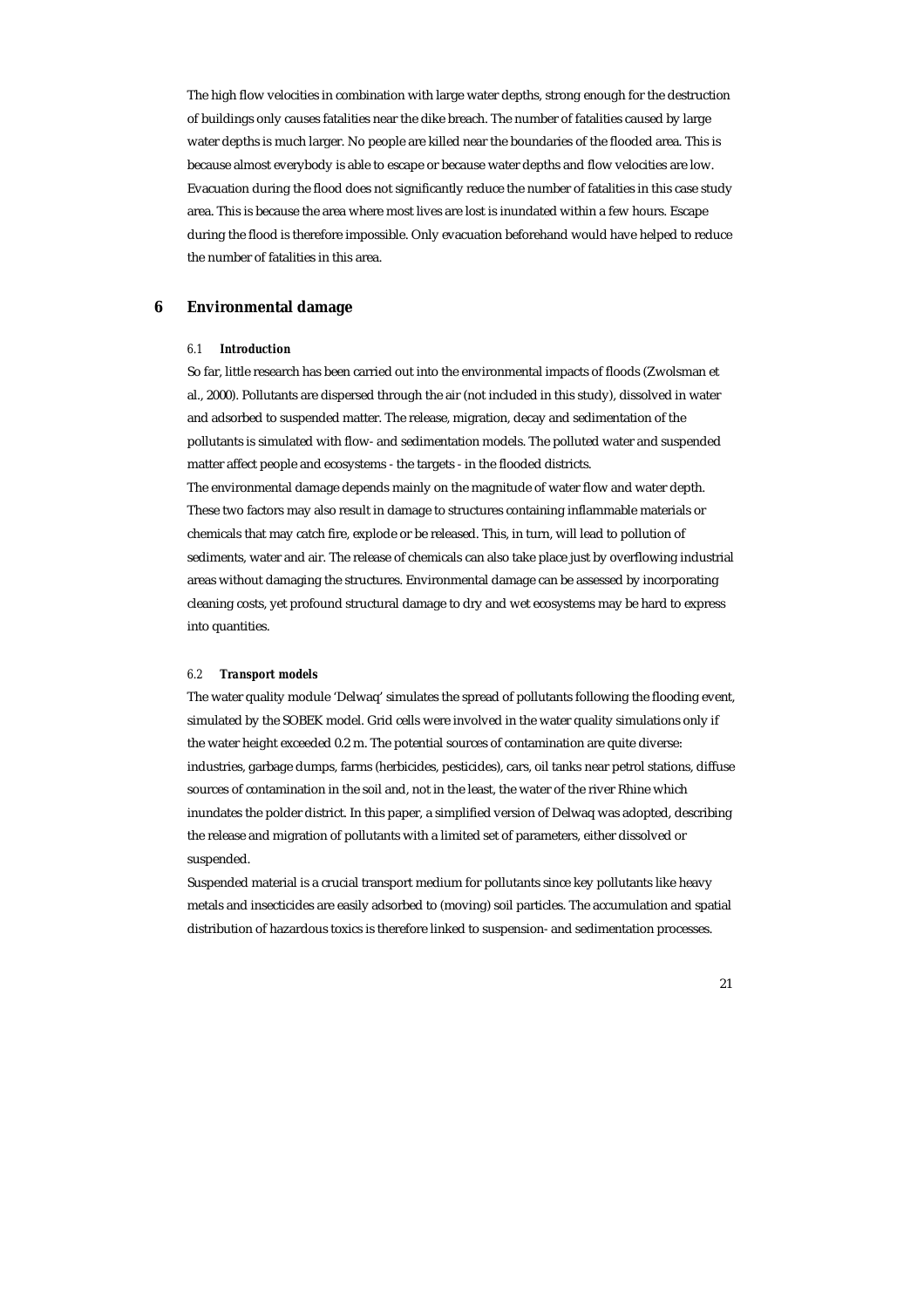The high flow velocities in combination with large water depths, strong enough for the destruction of buildings only causes fatalities near the dike breach. The number of fatalities caused by large water depths is much larger. No people are killed near the boundaries of the flooded area. This is because almost everybody is able to escape or because water depths and flow velocities are low. Evacuation during the flood does not significantly reduce the number of fatalities in this case study area. This is because the area where most lives are lost is inundated within a few hours. Escape during the flood is therefore impossible. Only evacuation beforehand would have helped to reduce the number of fatalities in this area.

# **6 Environmental damage**

# *6.1 Introduction*

So far, little research has been carried out into the environmental impacts of floods (Zwolsman et al., 2000). Pollutants are dispersed through the air (not included in this study), dissolved in water and adsorbed to suspended matter. The release, migration, decay and sedimentation of the pollutants is simulated with flow- and sedimentation models. The polluted water and suspended matter affect people and ecosystems - the targets - in the flooded districts. The environmental damage depends mainly on the magnitude of water flow and water depth.

These two factors may also result in damage to structures containing inflammable materials or chemicals that may catch fire, explode or be released. This, in turn, will lead to pollution of sediments, water and air. The release of chemicals can also take place just by overflowing industrial areas without damaging the structures. Environmental damage can be assessed by incorporating cleaning costs, yet profound structural damage to dry and wet ecosystems may be hard to express into quantities.

#### *6.2 Transport models*

The water quality module 'Delwaq' simulates the spread of pollutants following the flooding event, simulated by the SOBEK model. Grid cells were involved in the water quality simulations only if the water height exceeded 0.2 m. The potential sources of contamination are quite diverse: industries, garbage dumps, farms (herbicides, pesticides), cars, oil tanks near petrol stations, diffuse sources of contamination in the soil and, not in the least, the water of the river Rhine which inundates the polder district. In this paper, a simplified version of Delwaq was adopted, describing the release and migration of pollutants with a limited set of parameters, either dissolved or suspended.

Suspended material is a crucial transport medium for pollutants since key pollutants like heavy metals and insecticides are easily adsorbed to (moving) soil particles. The accumulation and spatial distribution of hazardous toxics is therefore linked to suspension- and sedimentation processes.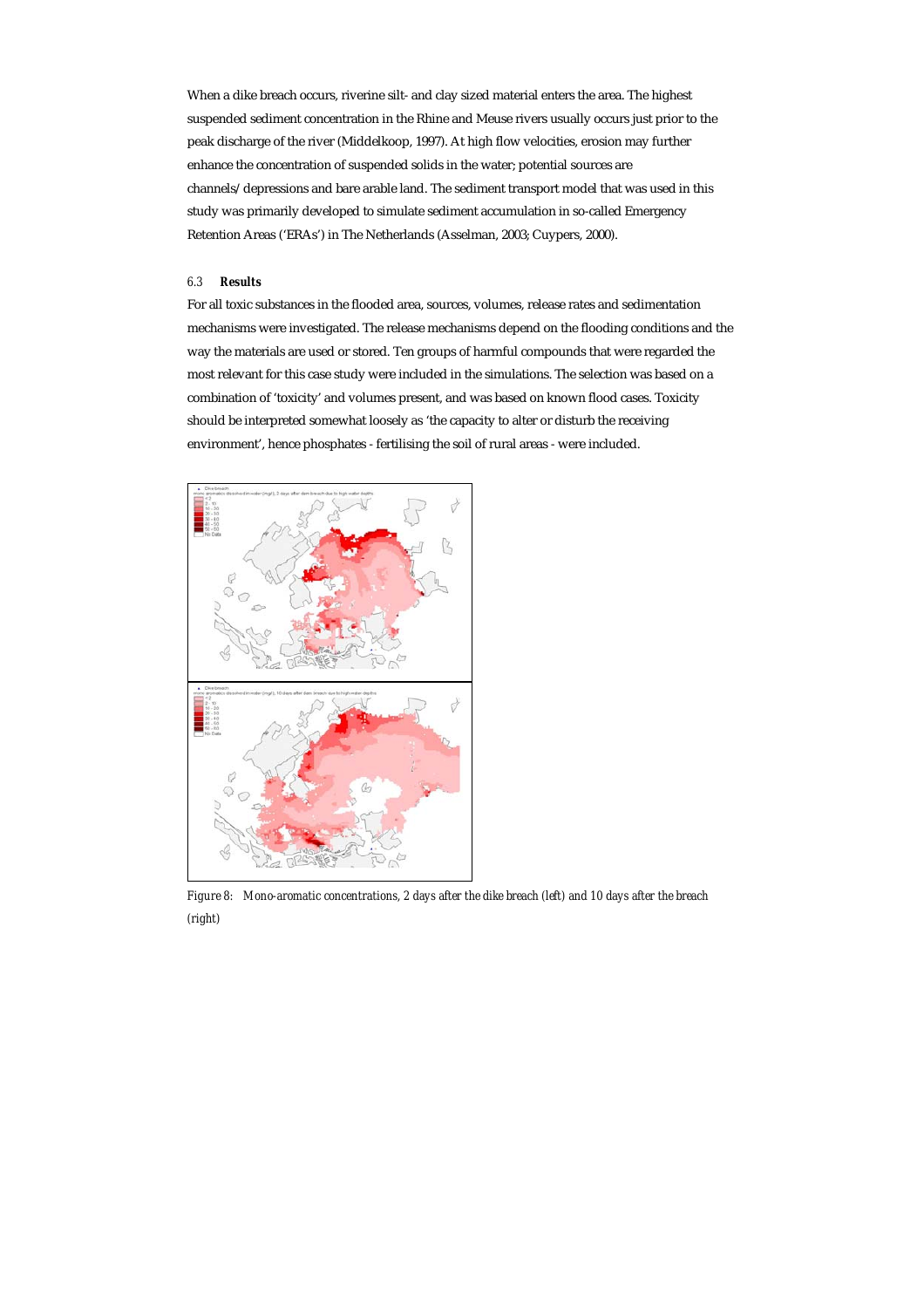When a dike breach occurs, riverine silt- and clay sized material enters the area. The highest suspended sediment concentration in the Rhine and Meuse rivers usually occurs just prior to the peak discharge of the river (Middelkoop, 1997). At high flow velocities, erosion may further enhance the concentration of suspended solids in the water; potential sources are channels/depressions and bare arable land. The sediment transport model that was used in this study was primarily developed to simulate sediment accumulation in so-called Emergency Retention Areas ('ERAs') in The Netherlands (Asselman, 2003; Cuypers, 2000).

#### *6.3 Results*

For all toxic substances in the flooded area, sources, volumes, release rates and sedimentation mechanisms were investigated. The release mechanisms depend on the flooding conditions and the way the materials are used or stored. Ten groups of harmful compounds that were regarded the most relevant for this case study were included in the simulations. The selection was based on a combination of 'toxicity' and volumes present, and was based on known flood cases. Toxicity should be interpreted somewhat loosely as 'the capacity to alter or disturb the receiving environment', hence phosphates - fertilising the soil of rural areas - were included.



*Figure 8: Mono-aromatic concentrations, 2 days after the dike breach (left) and 10 days after the breach (right)*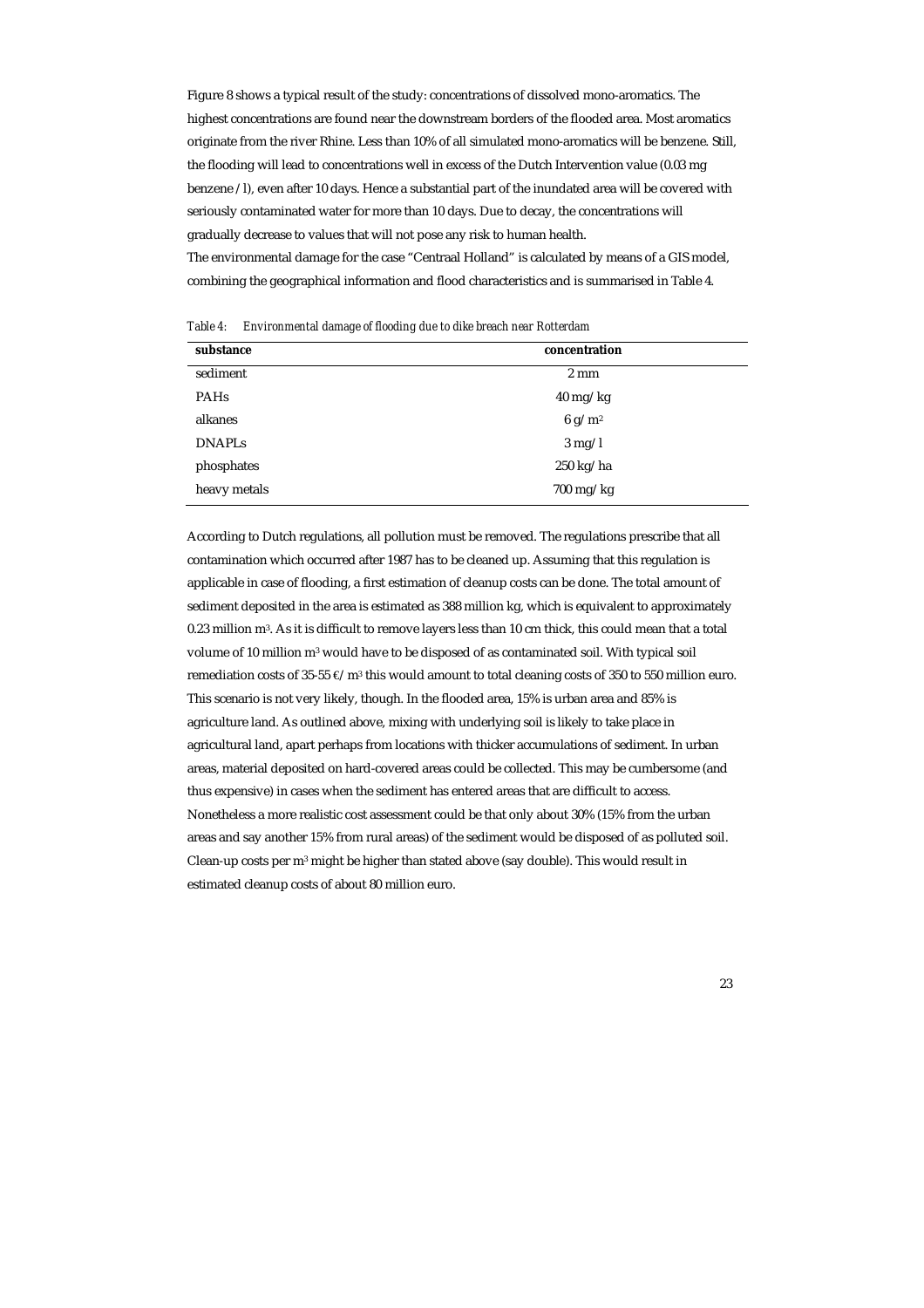Figure 8 shows a typical result of the study: concentrations of dissolved mono-aromatics. The highest concentrations are found near the downstream borders of the flooded area. Most aromatics originate from the river Rhine. Less than 10% of all simulated mono-aromatics will be benzene. Still, the flooding will lead to concentrations well in excess of the Dutch Intervention value (0.03 mg benzene /l), even after 10 days. Hence a substantial part of the inundated area will be covered with seriously contaminated water for more than 10 days. Due to decay, the concentrations will gradually decrease to values that will not pose any risk to human health.

The environmental damage for the case "Centraal Holland" is calculated by means of a GIS model, combining the geographical information and flood characteristics and is summarised in Table 4.

| Table 4: | Environmental damage of flooding due to dike breach near Rotterdam |  |  |  |  |
|----------|--------------------------------------------------------------------|--|--|--|--|
|          |                                                                    |  |  |  |  |

| substance     | concentration      |
|---------------|--------------------|
| sediment      | $2 \text{ mm}$     |
| <b>PAHs</b>   | $40 \text{ mg/kg}$ |
| alkanes       | 6 g/m <sup>2</sup> |
| <b>DNAPLs</b> | $3 \text{ mg}/1$   |
| phosphates    | $250$ kg/ha        |
| heavy metals  | $700$ mg/kg        |

According to Dutch regulations, all pollution must be removed. The regulations prescribe that all contamination which occurred after 1987 has to be cleaned up. Assuming that this regulation is applicable in case of flooding, a first estimation of cleanup costs can be done. The total amount of sediment deposited in the area is estimated as 388 million kg, which is equivalent to approximately 0.23 million m3. As it is difficult to remove layers less than 10 cm thick, this could mean that a total volume of 10 million m3 would have to be disposed of as contaminated soil. With typical soil remediation costs of 35-55 €/m3 this would amount to total cleaning costs of 350 to 550 million euro. This scenario is not very likely, though. In the flooded area, 15% is urban area and 85% is agriculture land. As outlined above, mixing with underlying soil is likely to take place in agricultural land, apart perhaps from locations with thicker accumulations of sediment. In urban areas, material deposited on hard-covered areas could be collected. This may be cumbersome (and thus expensive) in cases when the sediment has entered areas that are difficult to access. Nonetheless a more realistic cost assessment could be that only about 30% (15% from the urban areas and say another 15% from rural areas) of the sediment would be disposed of as polluted soil. Clean-up costs per m<sup>3</sup> might be higher than stated above (say double). This would result in estimated cleanup costs of about 80 million euro.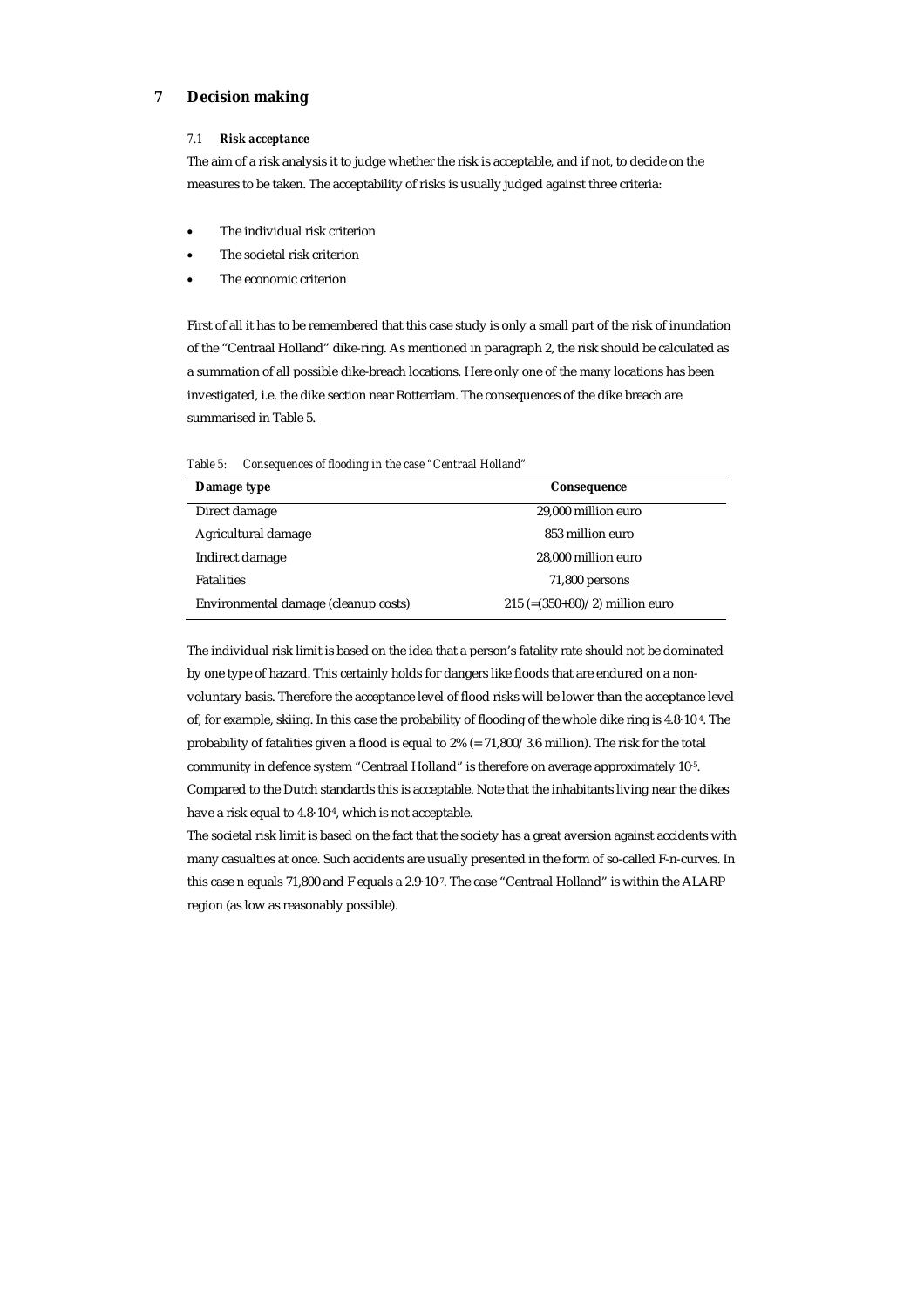# **7 Decision making**

#### *7.1 Risk acceptance*

The aim of a risk analysis it to judge whether the risk is acceptable, and if not, to decide on the measures to be taken. The acceptability of risks is usually judged against three criteria:

- The individual risk criterion
- The societal risk criterion
- The economic criterion

First of all it has to be remembered that this case study is only a small part of the risk of inundation of the "Centraal Holland" dike-ring. As mentioned in paragraph 2, the risk should be calculated as a summation of all possible dike-breach locations. Here only one of the many locations has been investigated, i.e. the dike section near Rotterdam. The consequences of the dike breach are summarised in Table 5.

| Consequences of flooding in the case "Centraal Holland" |
|---------------------------------------------------------|

| Damage type                          | Consequence                       |
|--------------------------------------|-----------------------------------|
| Direct damage                        | 29.000 million euro               |
| Agricultural damage                  | 853 million euro                  |
| Indirect damage                      | 28,000 million euro               |
| <b>Fatalities</b>                    | 71,800 persons                    |
| Environmental damage (cleanup costs) | $215 (= (350+80)/2)$ million euro |

The individual risk limit is based on the idea that a person's fatality rate should not be dominated by one type of hazard. This certainly holds for dangers like floods that are endured on a nonvoluntary basis. Therefore the acceptance level of flood risks will be lower than the acceptance level of, for example, skiing. In this case the probability of flooding of the whole dike ring is 4.8·10-4. The probability of fatalities given a flood is equal to 2% (= 71,800/3.6 million). The risk for the total community in defence system "Centraal Holland" is therefore on average approximately 10<sup>-5</sup>. Compared to the Dutch standards this is acceptable. Note that the inhabitants living near the dikes have a risk equal to 4.8·10-4, which is not acceptable.

The societal risk limit is based on the fact that the society has a great aversion against accidents with many casualties at once. Such accidents are usually presented in the form of so-called F-n-curves. In this case n equals 71,800 and F equals a 2.9·10-7. The case "Centraal Holland" is within the ALARP region (as low as reasonably possible).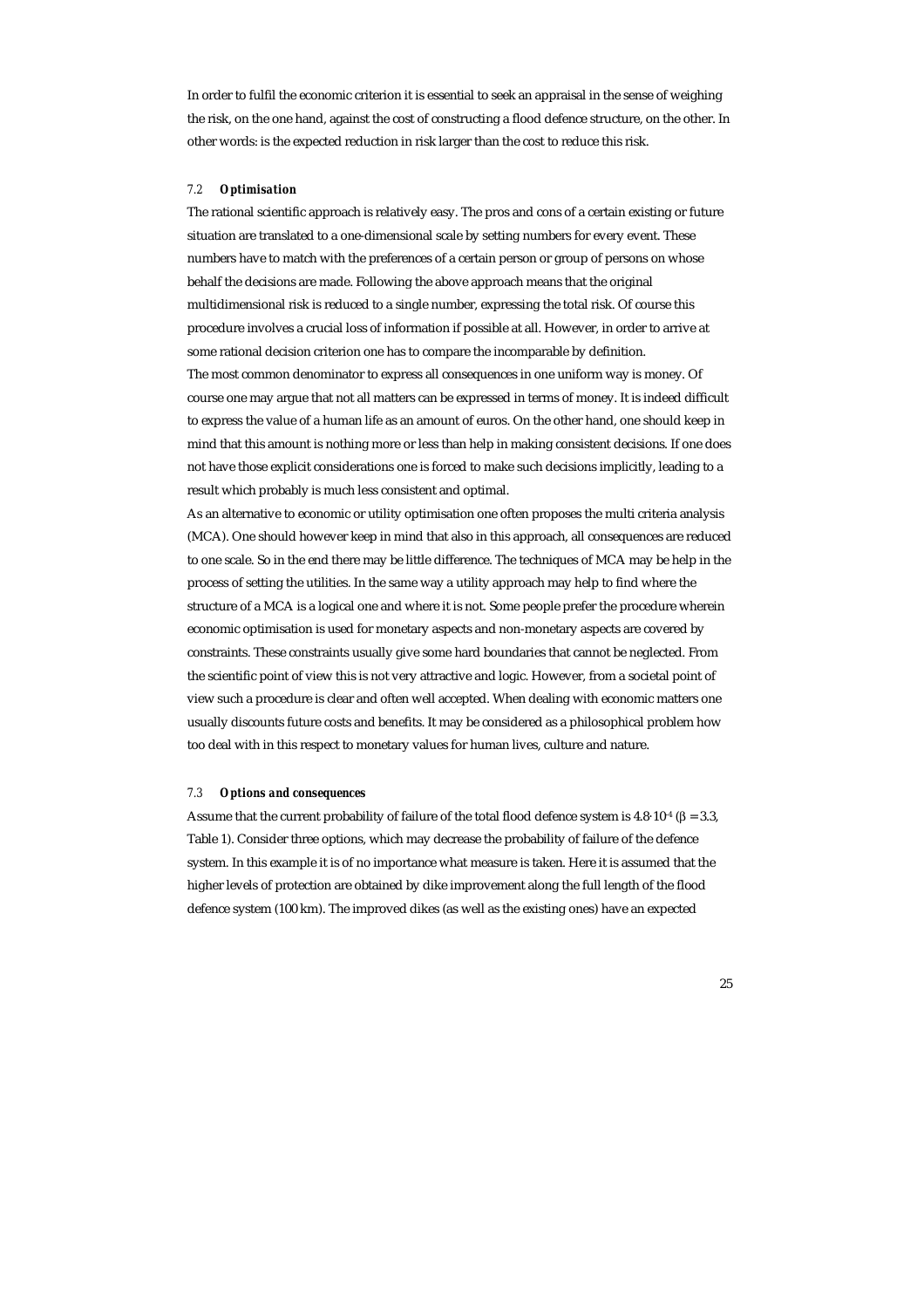In order to fulfil the economic criterion it is essential to seek an appraisal in the sense of weighing the risk, on the one hand, against the cost of constructing a flood defence structure, on the other. In other words: is the expected reduction in risk larger than the cost to reduce this risk.

#### *7.2 Optimisation*

The rational scientific approach is relatively easy. The pros and cons of a certain existing or future situation are translated to a one-dimensional scale by setting numbers for every event. These numbers have to match with the preferences of a certain person or group of persons on whose behalf the decisions are made. Following the above approach means that the original multidimensional risk is reduced to a single number, expressing the total risk. Of course this procedure involves a crucial loss of information if possible at all. However, in order to arrive at some rational decision criterion one has to compare the incomparable by definition. The most common denominator to express all consequences in one uniform way is money. Of course one may argue that not all matters can be expressed in terms of money. It is indeed difficult to express the value of a human life as an amount of euros. On the other hand, one should keep in mind that this amount is nothing more or less than help in making consistent decisions. If one does not have those explicit considerations one is forced to make such decisions implicitly, leading to a result which probably is much less consistent and optimal.

As an alternative to economic or utility optimisation one often proposes the multi criteria analysis (MCA). One should however keep in mind that also in this approach, all consequences are reduced to one scale. So in the end there may be little difference. The techniques of MCA may be help in the process of setting the utilities. In the same way a utility approach may help to find where the structure of a MCA is a logical one and where it is not. Some people prefer the procedure wherein economic optimisation is used for monetary aspects and non-monetary aspects are covered by constraints. These constraints usually give some hard boundaries that cannot be neglected. From the scientific point of view this is not very attractive and logic. However, from a societal point of view such a procedure is clear and often well accepted. When dealing with economic matters one usually discounts future costs and benefits. It may be considered as a philosophical problem how too deal with in this respect to monetary values for human lives, culture and nature.

#### *7.3 Options and consequences*

Assume that the current probability of failure of the total flood defence system is 4.8·10<sup>-4</sup> ( $\beta$  = 3.3, Table 1). Consider three options, which may decrease the probability of failure of the defence system. In this example it is of no importance what measure is taken. Here it is assumed that the higher levels of protection are obtained by dike improvement along the full length of the flood defence system (100 km). The improved dikes (as well as the existing ones) have an expected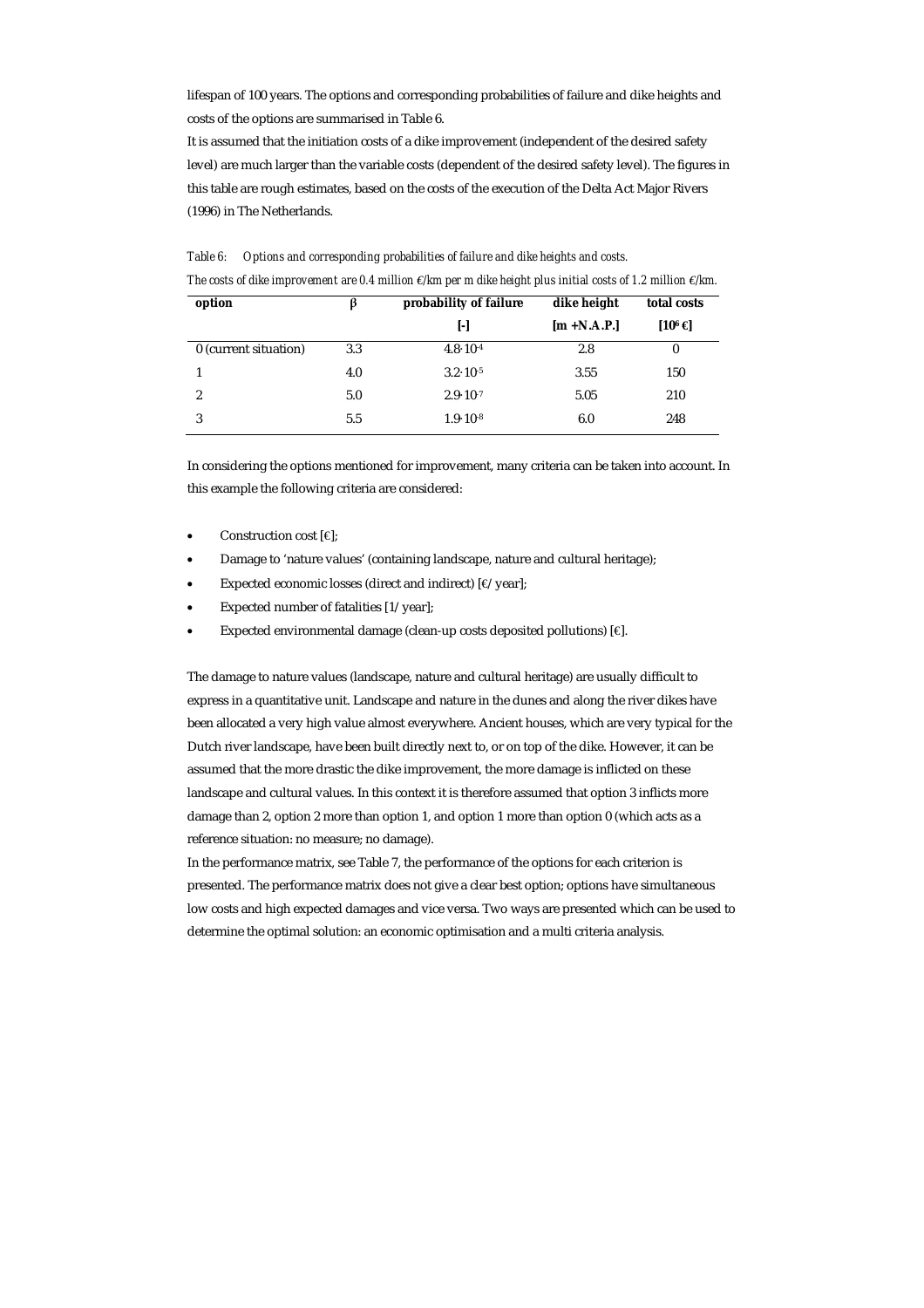lifespan of 100 years. The options and corresponding probabilities of failure and dike heights and costs of the options are summarised in Table 6.

It is assumed that the initiation costs of a dike improvement (independent of the desired safety level) are much larger than the variable costs (dependent of the desired safety level). The figures in this table are rough estimates, based on the costs of the execution of the Delta Act Major Rivers (1996) in The Netherlands.

| option                |     | probability of failure | dike height    | total costs        |
|-----------------------|-----|------------------------|----------------|--------------------|
|                       |     | ŀ1                     | $[m + N.A.P.]$ | [10 <sup>6</sup> € |
| 0 (current situation) | 3.3 | $4.8 \cdot 10^{-4}$    | 2.8            | 0                  |
|                       | 4.0 | $3.2 \cdot 10^{-5}$    | 3.55           | 150                |
| 2                     | 5.0 | $2.9 \cdot 10^{-7}$    | 5.05           | 210                |
| 3                     | 5.5 | $1.9 \cdot 10^{-8}$    | 6.0            | 248                |

*Table 6: Options and corresponding probabilities of failure and dike heights and costs. The costs of dike improvement are 0.4 million €/km per m dike height plus initial costs of 1.2 million €/km.* 

In considering the options mentioned for improvement, many criteria can be taken into account. In this example the following criteria are considered:

- Construction cost [€];
- Damage to 'nature values' (containing landscape, nature and cultural heritage);
- Expected economic losses (direct and indirect) [€/year];
- Expected number of fatalities [1/year];
- Expected environmental damage (clean-up costs deposited pollutions) [€].

The damage to nature values (landscape, nature and cultural heritage) are usually difficult to express in a quantitative unit. Landscape and nature in the dunes and along the river dikes have been allocated a very high value almost everywhere. Ancient houses, which are very typical for the Dutch river landscape, have been built directly next to, or on top of the dike. However, it can be assumed that the more drastic the dike improvement, the more damage is inflicted on these landscape and cultural values. In this context it is therefore assumed that option 3 inflicts more damage than 2, option 2 more than option 1, and option 1 more than option 0 (which acts as a reference situation: no measure; no damage).

In the performance matrix, see Table 7, the performance of the options for each criterion is presented. The performance matrix does not give a clear best option; options have simultaneous low costs and high expected damages and vice versa. Two ways are presented which can be used to determine the optimal solution: an economic optimisation and a multi criteria analysis.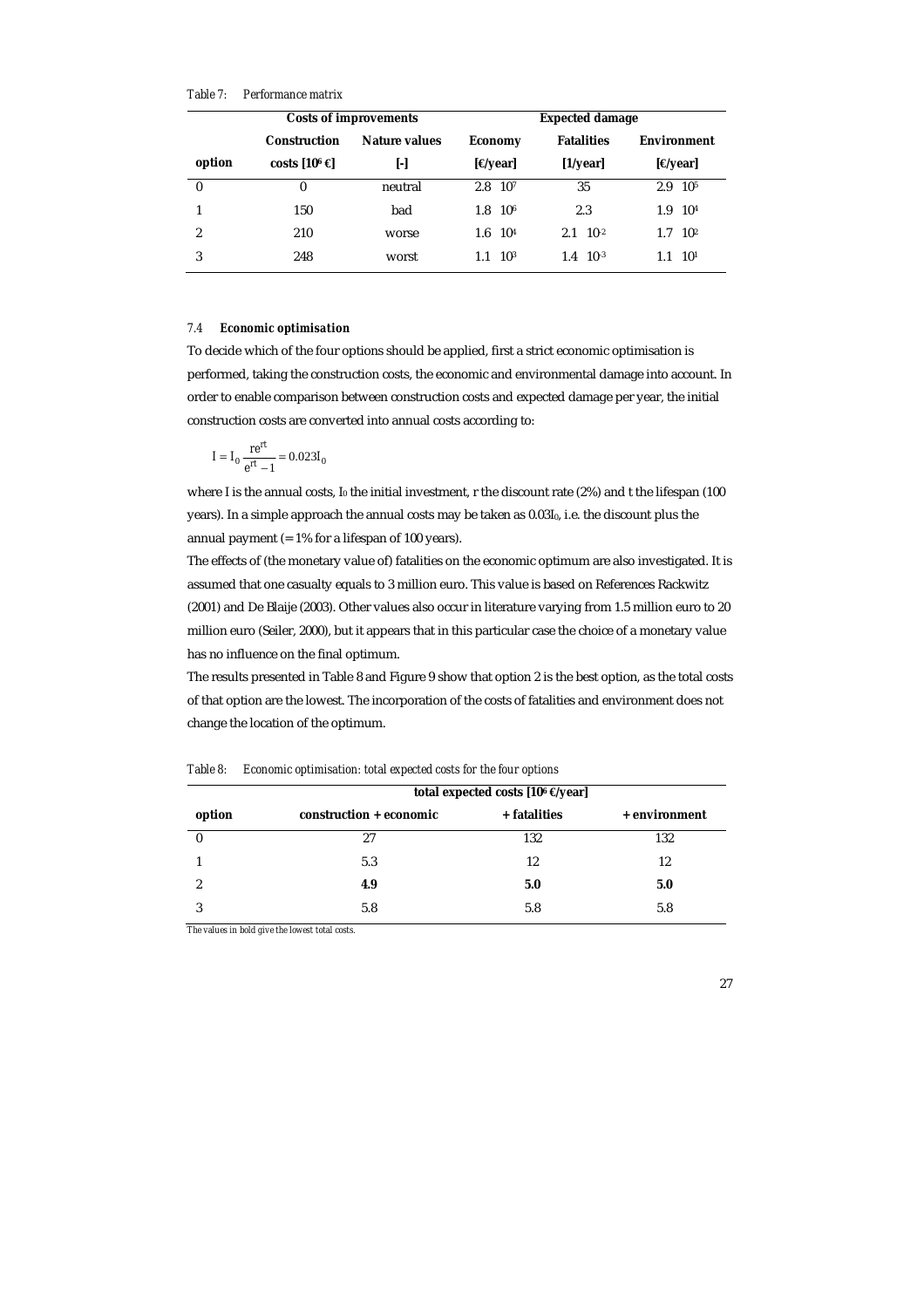*Table 7: Performance matrix* 

| <b>Costs of improvements</b> |                                      |         | <b>Expected damage</b>     |                     |                        |  |
|------------------------------|--------------------------------------|---------|----------------------------|---------------------|------------------------|--|
|                              | Nature values<br><b>Construction</b> |         | <b>Economy</b>             | <b>Fatalities</b>   | <b>Environment</b>     |  |
| option                       | costs $[10^6 \in ]$                  | H       | $[\Theta$ year]            | $[1/\text{year}]$   | $[$ <del>e</del> year] |  |
| $\bf{0}$                     | 0                                    | neutral | 10 <sup>7</sup><br>2.8     | 35                  | 10 <sup>5</sup><br>2.9 |  |
|                              | 150                                  | bad     | 1.8<br>10 <sup>6</sup>     | 2.3                 | 10 <sup>4</sup><br>1.9 |  |
| 2                            | 210                                  | worse   | 10 <sup>4</sup><br>$1.6\,$ | $2.1 \quad 10^{-2}$ | $10^{2}$<br>1.7        |  |
| 3                            | 248                                  | worst   | 10 <sup>3</sup>            | $1.4 \quad 10^{-3}$ | 10 <sup>1</sup><br>1.1 |  |

#### *7.4 Economic optimisation*

To decide which of the four options should be applied, first a strict economic optimisation is performed, taking the construction costs, the economic and environmental damage into account. In order to enable comparison between construction costs and expected damage per year, the initial construction costs are converted into annual costs according to:

$$
I = I_0 \frac{re^{rt}}{e^{rt} - 1} = 0.023I_0
$$

where I is the annual costs,  $I_0$  the initial investment, r the discount rate (2%) and t the lifespan (100 years). In a simple approach the annual costs may be taken as  $0.03I_0$ , i.e. the discount plus the annual payment (= 1% for a lifespan of 100 years).

The effects of (the monetary value of) fatalities on the economic optimum are also investigated. It is assumed that one casualty equals to 3 million euro. This value is based on References Rackwitz (2001) and De Blaije (2003). Other values also occur in literature varying from 1.5 million euro to 20 million euro (Seiler, 2000), but it appears that in this particular case the choice of a monetary value has no influence on the final optimum.

The results presented in Table 8 and Figure 9 show that option 2 is the best option, as the total costs of that option are the lowest. The incorporation of the costs of fatalities and environment does not change the location of the optimum.

|                  | total expected costs [10 $\epsilon$ $\epsilon$ /year] |              |               |  |  |  |
|------------------|-------------------------------------------------------|--------------|---------------|--|--|--|
| option           | construction + economic                               | + fatalities | + environment |  |  |  |
| $\boldsymbol{0}$ | 27                                                    | 132          | 132           |  |  |  |
|                  | 5.3                                                   | 12           | 12            |  |  |  |
| 9                | 4.9                                                   | 5.0          | 5.0           |  |  |  |
|                  | 5.8                                                   | 5.8          | 5.8           |  |  |  |

*Table 8: Economic optimisation: total expected costs for the four options* 

*The values in bold give the lowest total costs.*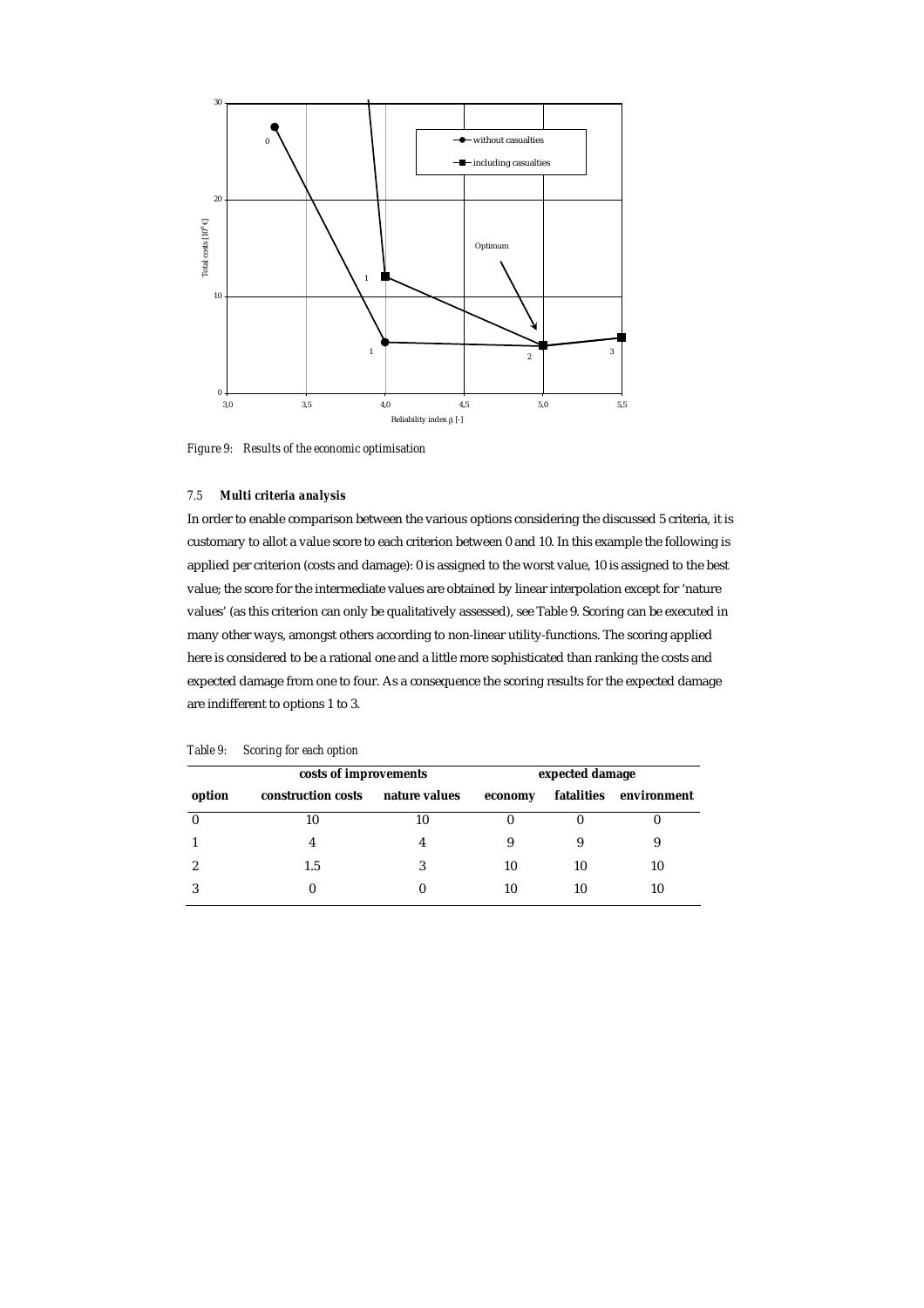

*Figure 9: Results of the economic optimisation* 

# *7.5 Multi criteria analysis*

In order to enable comparison between the various options considering the discussed 5 criteria, it is customary to allot a value score to each criterion between 0 and 10. In this example the following is applied per criterion (costs and damage): 0 is assigned to the worst value, 10 is assigned to the best value; the score for the intermediate values are obtained by linear interpolation except for 'nature values' (as this criterion can only be qualitatively assessed), see Table 9. Scoring can be executed in many other ways, amongst others according to non-linear utility-functions. The scoring applied here is considered to be a rational one and a little more sophisticated than ranking the costs and expected damage from one to four. As a consequence the scoring results for the expected damage are indifferent to options 1 to 3.

|        | costs of improvements |               |         | expected damage |                        |  |  |
|--------|-----------------------|---------------|---------|-----------------|------------------------|--|--|
| option | construction costs    | nature values | economy |                 | fatalities environment |  |  |
|        | 10                    | 10            |         |                 |                        |  |  |
|        |                       |               |         |                 |                        |  |  |
|        | 1.5                   | 3             | 10      | 10              | 10                     |  |  |
|        |                       |               | 10      | 10              | 10                     |  |  |

*Table 9: Scoring for each option*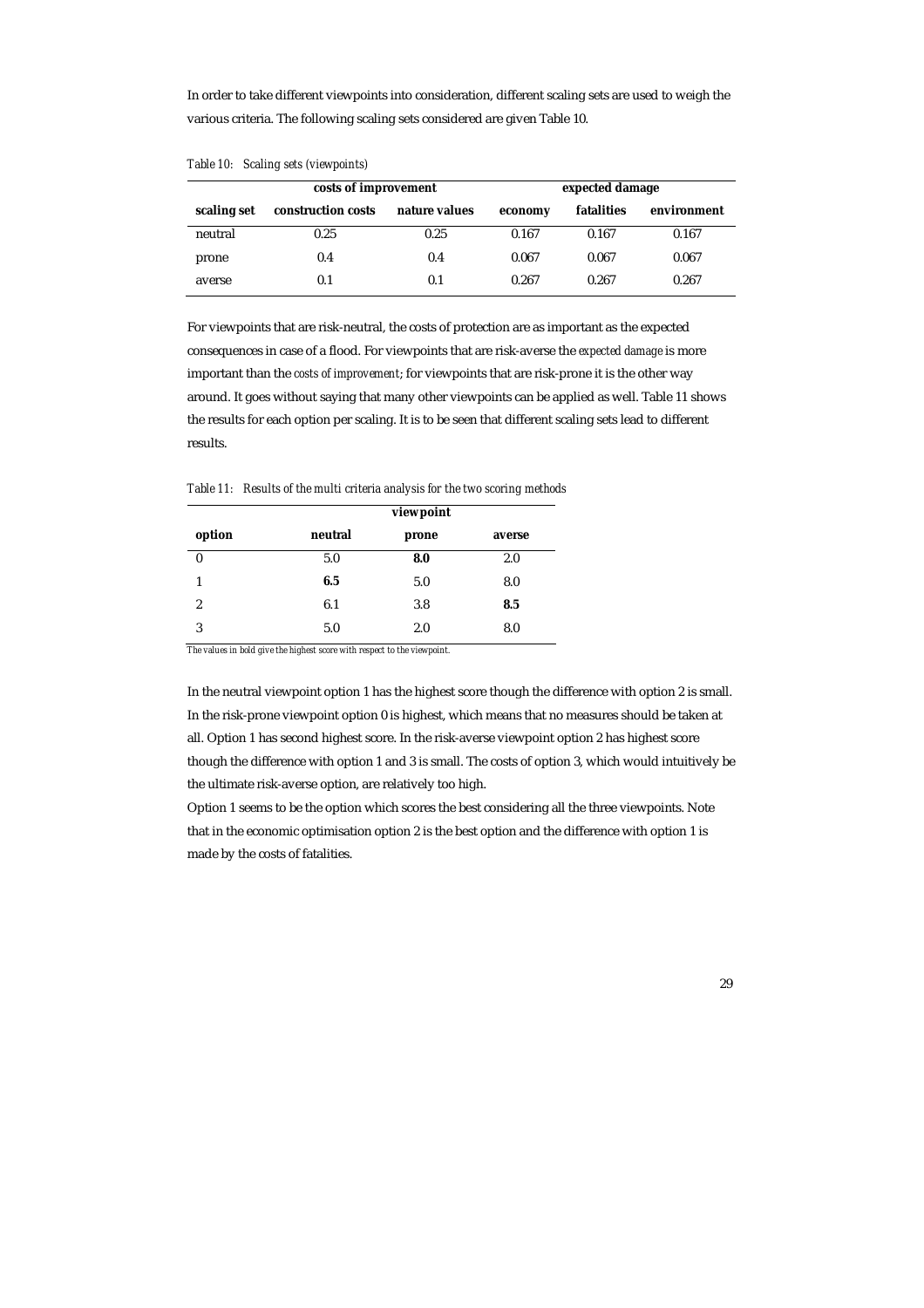In order to take different viewpoints into consideration, different scaling sets are used to weigh the various criteria. The following scaling sets considered are given Table 10.

|             | costs of improvement | expected damage |         |            |             |
|-------------|----------------------|-----------------|---------|------------|-------------|
| scaling set | construction costs   | nature values   | economy | fatalities | environment |
| neutral     | 0.25                 | 0.25            | 0.167   | 0.167      | 0.167       |
| prone       | 0.4                  | 0.4             | 0.067   | 0.067      | 0.067       |
| averse      | 0.1                  | 0.1             | 0.267   | 0.267      | 0.267       |

*Table 10: Scaling sets (viewpoints)* 

For viewpoints that are risk-neutral, the costs of protection are as important as the expected consequences in case of a flood. For viewpoints that are risk-averse the *expected damage* is more important than the *costs of improvement*; for viewpoints that are risk-prone it is the other way around. It goes without saying that many other viewpoints can be applied as well. Table 11 shows the results for each option per scaling. It is to be seen that different scaling sets lead to different results.

*Table 11: Results of the multi criteria analysis for the two scoring methods* 

|                  | viewpoint |       |        |
|------------------|-----------|-------|--------|
| option           | neutral   | prone | averse |
| $\boldsymbol{0}$ | 5.0       | 8.0   | 2.0    |
| 1                | 6.5       | 5.0   | 8.0    |
| 2                | 6.1       | 3.8   | 8.5    |
| 3                | 5.0       | 2.0   | 8.0    |

*The values in bold give the highest score with respect to the viewpoint.* 

In the neutral viewpoint option 1 has the highest score though the difference with option 2 is small. In the risk-prone viewpoint option 0 is highest, which means that no measures should be taken at all. Option 1 has second highest score. In the risk-averse viewpoint option 2 has highest score though the difference with option 1 and 3 is small. The costs of option 3, which would intuitively be the ultimate risk-averse option, are relatively too high.

Option 1 seems to be the option which scores the best considering all the three viewpoints. Note that in the economic optimisation option 2 is the best option and the difference with option 1 is made by the costs of fatalities.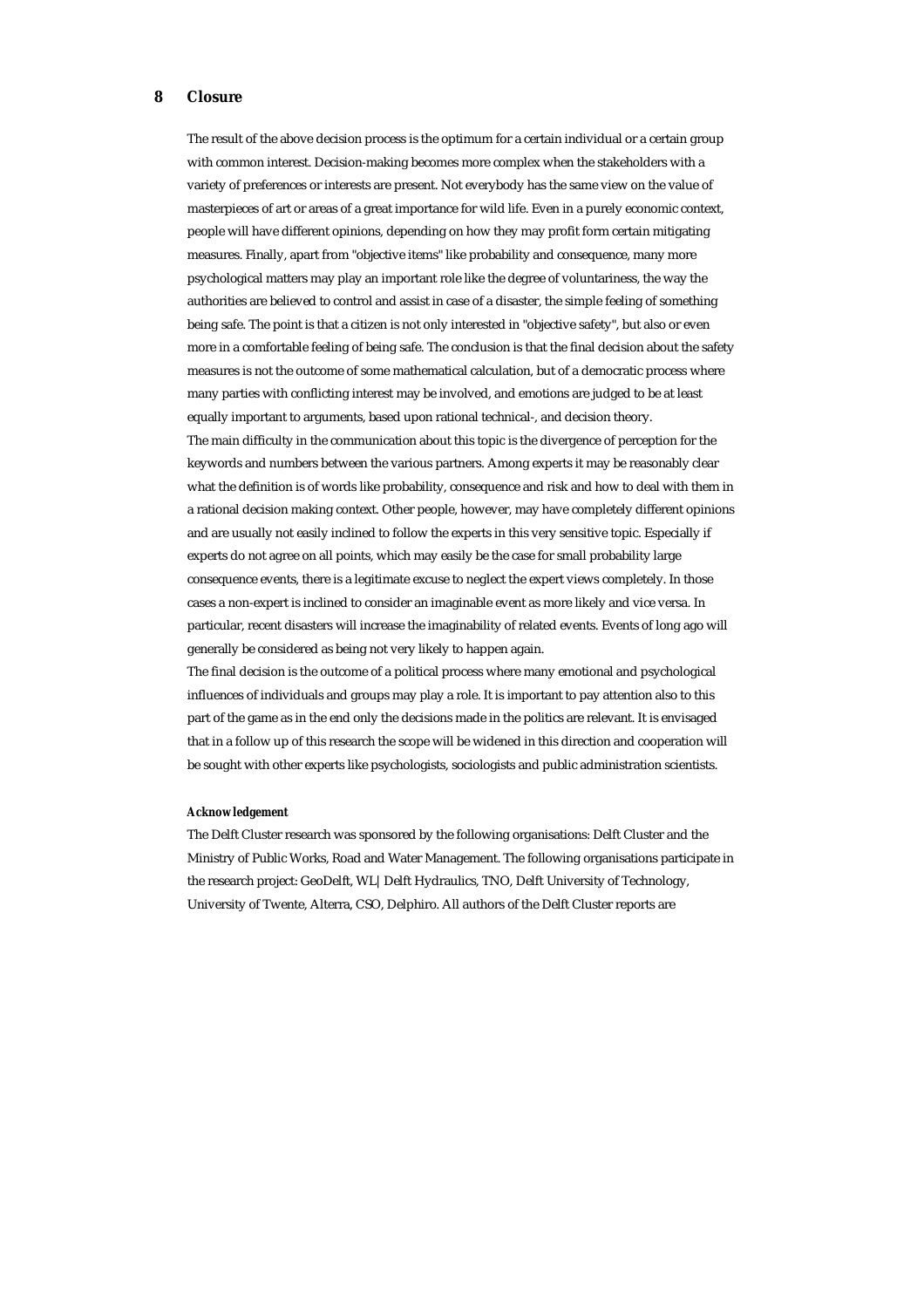# **8 Closure**

The result of the above decision process is the optimum for a certain individual or a certain group with common interest. Decision-making becomes more complex when the stakeholders with a variety of preferences or interests are present. Not everybody has the same view on the value of masterpieces of art or areas of a great importance for wild life. Even in a purely economic context, people will have different opinions, depending on how they may profit form certain mitigating measures. Finally, apart from "objective items" like probability and consequence, many more psychological matters may play an important role like the degree of voluntariness, the way the authorities are believed to control and assist in case of a disaster, the simple feeling of something being safe. The point is that a citizen is not only interested in "objective safety", but also or even more in a comfortable feeling of being safe. The conclusion is that the final decision about the safety measures is not the outcome of some mathematical calculation, but of a democratic process where many parties with conflicting interest may be involved, and emotions are judged to be at least equally important to arguments, based upon rational technical-, and decision theory. The main difficulty in the communication about this topic is the divergence of perception for the

keywords and numbers between the various partners. Among experts it may be reasonably clear what the definition is of words like probability, consequence and risk and how to deal with them in a rational decision making context. Other people, however, may have completely different opinions and are usually not easily inclined to follow the experts in this very sensitive topic. Especially if experts do not agree on all points, which may easily be the case for small probability large consequence events, there is a legitimate excuse to neglect the expert views completely. In those cases a non-expert is inclined to consider an imaginable event as more likely and vice versa. In particular, recent disasters will increase the imaginability of related events. Events of long ago will generally be considered as being not very likely to happen again.

The final decision is the outcome of a political process where many emotional and psychological influences of individuals and groups may play a role. It is important to pay attention also to this part of the game as in the end only the decisions made in the politics are relevant. It is envisaged that in a follow up of this research the scope will be widened in this direction and cooperation will be sought with other experts like psychologists, sociologists and public administration scientists.

#### *Acknowledgement*

The Delft Cluster research was sponsored by the following organisations: Delft Cluster and the Ministry of Public Works, Road and Water Management. The following organisations participate in the research project: GeoDelft, WL|Delft Hydraulics, TNO, Delft University of Technology, University of Twente, Alterra, CSO, Delphiro. All authors of the Delft Cluster reports are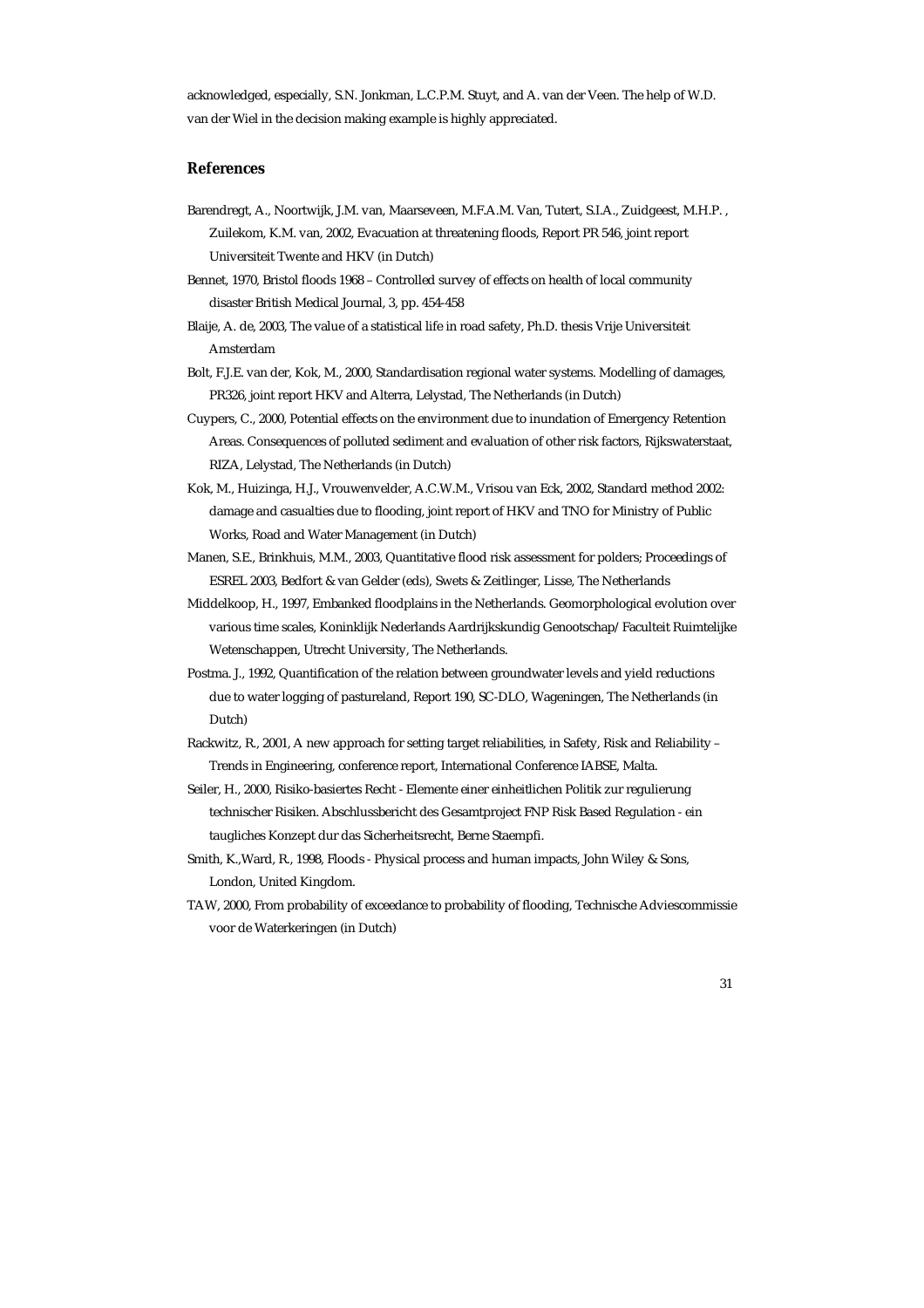acknowledged, especially, S.N. Jonkman, L.C.P.M. Stuyt, and A. van der Veen. The help of W.D. van der Wiel in the decision making example is highly appreciated.

# **References**

- Barendregt, A., Noortwijk, J.M. van, Maarseveen, M.F.A.M. Van, Tutert, S.I.A., Zuidgeest, M.H.P. , Zuilekom, K.M. van, 2002, Evacuation at threatening floods, Report PR 546, joint report Universiteit Twente and HKV (in Dutch)
- Bennet, 1970, Bristol floods 1968 Controlled survey of effects on health of local community disaster British Medical Journal, 3, pp. 454-458
- Blaije, A. de, 2003, The value of a statistical life in road safety, Ph.D. thesis Vrije Universiteit Amsterdam
- Bolt, F.J.E. van der, Kok, M., 2000, Standardisation regional water systems. Modelling of damages, PR326, joint report HKV and Alterra, Lelystad, The Netherlands (in Dutch)
- Cuypers, C., 2000, Potential effects on the environment due to inundation of Emergency Retention Areas. Consequences of polluted sediment and evaluation of other risk factors, Rijkswaterstaat, RIZA, Lelystad, The Netherlands (in Dutch)
- Kok, M., Huizinga, H.J., Vrouwenvelder, A.C.W.M., Vrisou van Eck, 2002, Standard method 2002: damage and casualties due to flooding, joint report of HKV and TNO for Ministry of Public Works, Road and Water Management (in Dutch)
- Manen, S.E., Brinkhuis, M.M., 2003, Quantitative flood risk assessment for polders; Proceedings of ESREL 2003, Bedfort & van Gelder (eds), Swets & Zeitlinger, Lisse, The Netherlands
- Middelkoop, H., 1997, Embanked floodplains in the Netherlands. Geomorphological evolution over various time scales, Koninklijk Nederlands Aardrijkskundig Genootschap/Faculteit Ruimtelijke Wetenschappen, Utrecht University, The Netherlands.
- Postma. J., 1992, Quantification of the relation between groundwater levels and yield reductions due to water logging of pastureland, Report 190, SC-DLO, Wageningen, The Netherlands (in Dutch)
- Rackwitz, R., 2001, A new approach for setting target reliabilities, in Safety, Risk and Reliability Trends in Engineering, conference report, International Conference IABSE, Malta.
- Seiler, H., 2000, Risiko-basiertes Recht Elemente einer einheitlichen Politik zur regulierung technischer Risiken. Abschlussbericht des Gesamtproject FNP Risk Based Regulation - ein taugliches Konzept dur das Sicherheitsrecht, Berne Staempfi.
- Smith, K.,Ward, R., 1998, Floods Physical process and human impacts, John Wiley & Sons, London, United Kingdom.
- TAW, 2000, From probability of exceedance to probability of flooding, Technische Adviescommissie voor de Waterkeringen (in Dutch)